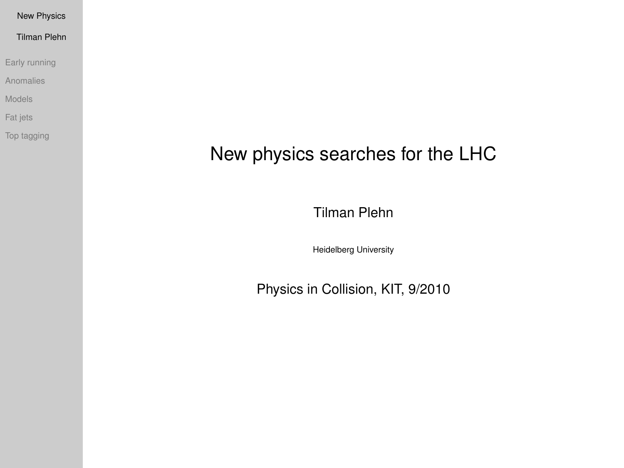Tilman Plehn

[Early running](#page-1-0)

[Anomalies](#page-5-0)

[Models](#page-11-0)

[Fat jets](#page-29-0)

[Top tagging](#page-36-0)

# New physics searches for the LHC

Tilman Plehn

Heidelberg University

<span id="page-0-0"></span>Physics in Collision, KIT, 9/2010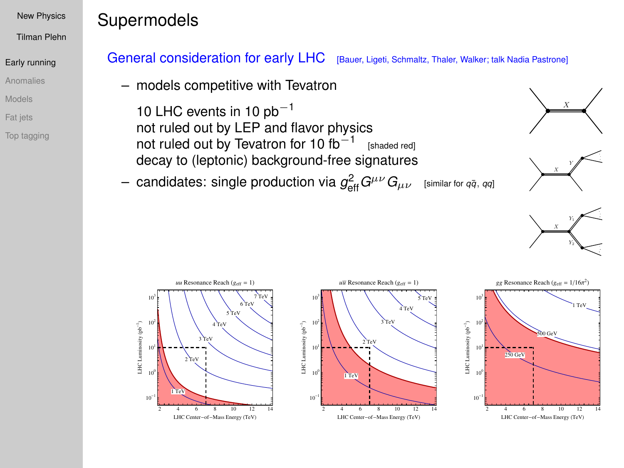Tilman Plehn

#### [Early running](#page-1-0)

[Anomalies](#page-5-0)

[Models](#page-11-0)

[Fat jets](#page-29-0)

[Top tagging](#page-36-0)

# **Supermodels**

## General consideration for early LHC [Bauer, Ligeti, Schmaltz, Thaler, Walker; talk Nadia Pastrone]

– models competitive with Tevatron

10 LHC events in 10  $pb<sup>-1</sup>$ not ruled out by LEP and flavor physics not ruled out by Tevatron for 10  $fb^{-1}$  [shaded red] decay to (leptonic) background-free signatures

 $-$  candidates: single production via  $g_{\text{eff}}^2 G^{\mu\nu}G_{\mu\nu}$  [similar for *qq̃*, *qq*]







<span id="page-1-0"></span>



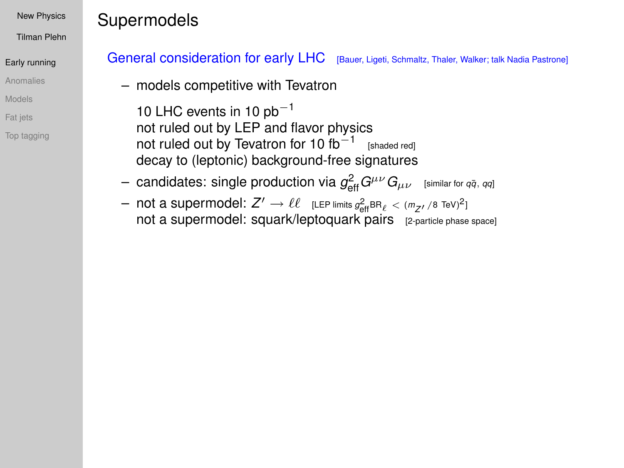Tilman Plehn

### [Early running](#page-1-0)

[Anomalies](#page-5-0)

[Models](#page-11-0)

[Fat jets](#page-29-0)

[Top tagging](#page-36-0)

# Supermodels

## General consideration for early LHC [Bauer, Ligeti, Schmaltz, Thaler, Walker; talk Nadia Pastrone]

– models competitive with Tevatron

10 LHC events in 10  $pb<sup>-1</sup>$ not ruled out by LEP and flavor physics not ruled out by Tevatron for 10  $fb^{-1}$  [shaded red] decay to (leptonic) background-free signatures

- $-$  candidates: single production via  $g_{\text{eff}}^2 G^{\mu\nu}G_{\mu\nu}$  [similar for *qq̃*, *qq*]
- $-$  not a supermodel:  $Z' \to \ell \ell$  [LEP limits  $g_{\text{eff}}^2$ BR $_{\ell}$  <  $(m_{Z'}/8 \text{ TeV})^2$ ] not a supermodel: squark/leptoquark pairs [2-particle phase space]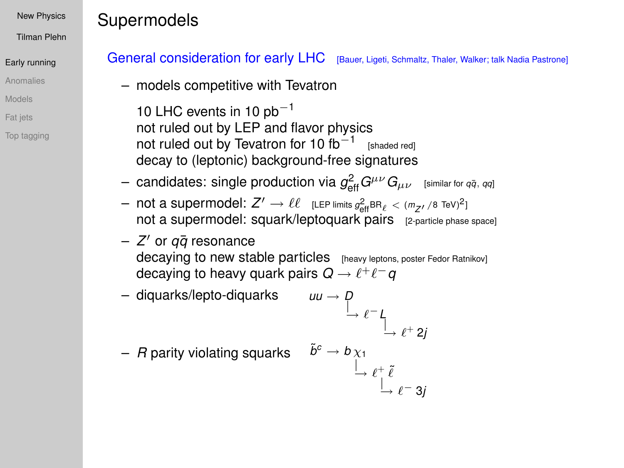Tilman Plehn

### [Early running](#page-1-0)

[Anomalies](#page-5-0)

[Models](#page-11-0)

[Fat jets](#page-29-0)

[Top tagging](#page-36-0)

# Supermodels

## General consideration for early LHC [Bauer, Ligeti, Schmaltz, Thaler, Walker; talk Nadia Pastrone]

– models competitive with Tevatron

10 LHC events in 10  $pb<sup>-1</sup>$ not ruled out by LEP and flavor physics not ruled out by Tevatron for 10  $fb^{-1}$  [shaded red] decay to (leptonic) background-free signatures

- $-$  candidates: single production via  $g_{\text{eff}}^2 G^{\mu\nu}G_{\mu\nu}$  [similar for *qq̃*, *qq*]
- $-$  not a supermodel:  $Z' \to \ell \ell$  [LEP limits  $g_{\text{eff}}^2$ BR $_{\ell}$  <  $(m_{Z'}/8 \text{ TeV})^2$ ] not a supermodel: squark/leptoquark pairs [2-particle phase space]
- *Z* <sup>0</sup> or *qq*¯ resonance decaying to new stable particles [heavy leptons, poster Fedor Ratnikov] decaying to heavy quark pairs  $\mathsf{Q} \to \ell^+ \ell^- \mathsf{q}$

- diquarks/lepto-diquarks 
$$
uu \to p
$$
  
 $\xrightarrow{\uparrow} e^{-}L$   
 $\xrightarrow{\uparrow} e^{+}2j$ 

 $-$  *R* parity violating squarks  $\tilde{b}^c \rightarrow b \chi_1$ 

$$
\stackrel{\chi_1}{\rightarrow} \ell^+_{\_\_ \ell^- \, 3j}
$$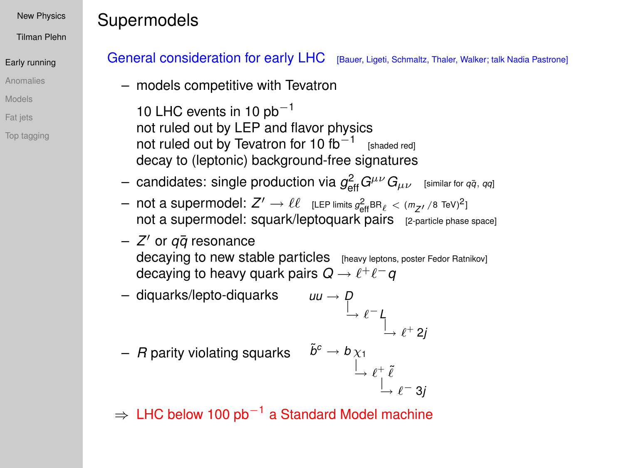Tilman Plehn

### [Early running](#page-1-0)

[Anomalies](#page-5-0)

[Models](#page-11-0)

[Fat jets](#page-29-0)

[Top tagging](#page-36-0)

# Supermodels

## General consideration for early LHC [Bauer, Ligeti, Schmaltz, Thaler, Walker; talk Nadia Pastrone]

– models competitive with Tevatron

10 LHC events in 10  $pb<sup>-1</sup>$ not ruled out by LEP and flavor physics not ruled out by Tevatron for 10  $fb^{-1}$  [shaded red] decay to (leptonic) background-free signatures

- $-$  candidates: single production via  $g_{\text{eff}}^2 G^{\mu\nu}G_{\mu\nu}$  [similar for *qq̃*, *qq*]
- $-$  not a supermodel:  $Z' \to \ell \ell$  [LEP limits  $g_{\text{eff}}^2$ BR $_{\ell}$  <  $(m_{Z'}/8 \text{ TeV})^2$ ] not a supermodel: squark/leptoquark pairs [2-particle phase space]
- *Z* <sup>0</sup> or *qq*¯ resonance decaying to new stable particles [heavy leptons, poster Fedor Ratnikov] decaying to heavy quark pairs  $\mathsf{Q} \to \ell^+ \ell^- \mathsf{q}$

- diquarks/lepto-diquarks 
$$
uu \to p
$$
  
 $\xrightarrow{\qquad} \ell^- l$   
 $\xrightarrow{\qquad} \ell^+ 2j$ 

\n
$$
- R
$$
 parity violating squarks  
\n $\begin{array}{ccc}\n \tilde{b}^c \rightarrow b \chi_1 \\
 \downarrow & \ell^+ \tilde{\ell} \\
 \downarrow & \ell^- 3j\n \end{array}$ \n

 $\Rightarrow$  LHC below 100 pb<sup>-1</sup> a Standard Model machine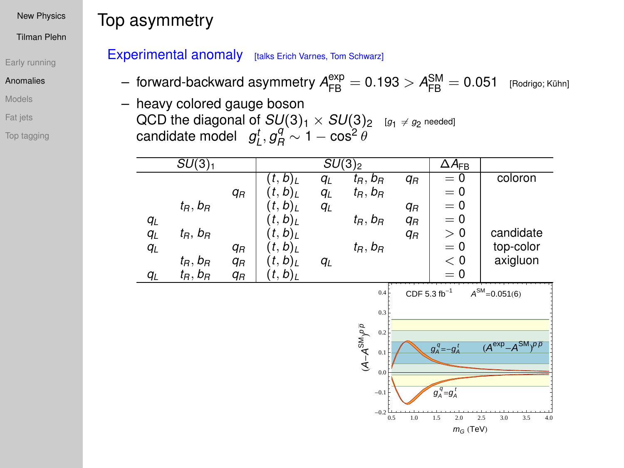Tilman Plehn

#### [Early running](#page-1-0)

#### [Anomalies](#page-5-0)

[Models](#page-11-0)

[Fat jets](#page-29-0)

<span id="page-5-0"></span>[Top tagging](#page-36-0)

# Top asymmetry

## Experimental anomaly [talks Erich Varnes, Tom Schwarz]

- $-$  forward-backward asymmetry  ${\cal A}^{\rm exp}_{\rm FB}=0.193 > {\cal A}^{\rm SM}_{\rm FB}=0.051$  [Rodrigo; Kühn]
- heavy colored gauge boson QCD the diagonal of  $SU(3)_1 \times SU(3)_2$  *[g<sub>1</sub> ≠ g<sub>2</sub> n*eeded]<br>candidate model *gt<sub>L</sub>*, *gq*  $\sim$  1 − cos<sup>2</sup> θ

|       | $SU(3)_1$     |       |                       |    | $SU(3)_2$     |                       | $\Delta A_{\text{FB}}$ |                     |
|-------|---------------|-------|-----------------------|----|---------------|-----------------------|------------------------|---------------------|
|       |               |       | $(t,b)_I$             | qL | $t_R, b_R$    | q <sub>R</sub>        | $= 0$                  | coloron             |
|       |               | $q_R$ | (t,b) <sub>L</sub>    | qL | $t_R$ , $b_R$ |                       | $= 0$                  |                     |
|       | $t_R, b_R$    |       | $(t,b)_L$             | qL |               | qн                    | $= 0$                  |                     |
| qL    |               |       | $(t,b)_L$             |    | $t_R$ , $b_R$ | <b>q</b> <sub>R</sub> | $= 0$                  |                     |
| qL    | $t_R$ , $b_R$ |       | (t,b) <sub>L</sub>    |    |               | $q_R$                 | > 0                    | candidate           |
| $q_L$ |               | $q_R$ | $(t, b)$ <sub>L</sub> |    | $t_R$ , $b_R$ |                       | $= 0$                  | top-color           |
|       | $t_R, b_R$    | $q_R$ | (t,b) <sub>L</sub>    | qL |               |                       | < 0                    | axigluon            |
| $q_L$ | $t_R$ , $b_R$ | $q_R$ | $(t,b)_L$             |    |               |                       | $= 0$                  |                     |
|       |               |       |                       |    | 0.4           | $CDF 5.3 fb-1$        |                        | $A^{SM} = 0.051(6)$ |

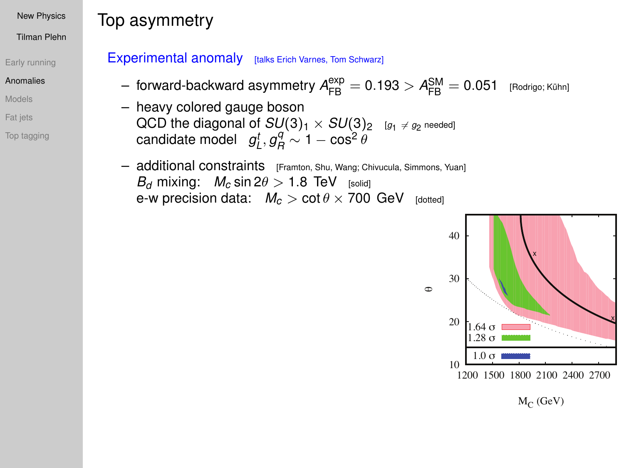Tilman Plehn

#### [Early running](#page-1-0)

#### [Anomalies](#page-5-0)

[Models](#page-11-0)

- [Fat jets](#page-29-0)
- [Top tagging](#page-36-0)

# Top asymmetry

### Experimental anomaly [talks Erich Varnes, Tom Schwarz]

- $-$  forward-backward asymmetry  $A_{\mathsf{FB}}^{\mathsf{exp}} = 0.193 > A_{\mathsf{FB}}^{\mathsf{SM}} = 0.051$  [Rodrigo; Kühn]
- heavy colored gauge boson  $\mathsf{QCD}$  the diagonal of  $SU(3)_1\times SU(3)_2$   $_{[g_1\; \neq \; g_2\; \mathsf{needed}]}$  $\mathsf{candidate \ model} \quad g_L^t, g_R^q \sim 1 - \cos^2 \theta$
- additional constraints [Framton, Shu, Wang; Chivucula, Simmons, Yuan] *B*<sup>*d*</sup> mixing:  $M_c \sin 2\theta > 1.8$  TeV [solid] e-w precision data:  $M_c > \cot \theta \times 700$  GeV [dotted]



 $M_C$  (GeV)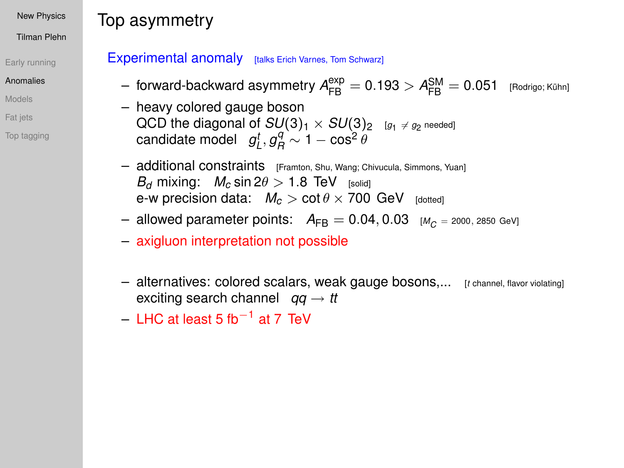Tilman Plehn

#### [Early running](#page-1-0)

#### [Anomalies](#page-5-0)

[Models](#page-11-0)

- [Fat jets](#page-29-0)
- [Top tagging](#page-36-0)

# Top asymmetry

### Experimental anomaly [talks Erich Varnes, Tom Schwarz]

- $-$  forward-backward asymmetry  $A_{\mathsf{FB}}^{\mathsf{exp}} = 0.193 > A_{\mathsf{FB}}^{\mathsf{SM}} = 0.051$  [Rodrigo; Kühn]
- heavy colored gauge boson  $\mathsf{QCD}$  the diagonal of  $SU(3)_1\times SU(3)_2$   $_{[g_1\; \neq \; g_2\; \mathsf{needed}]}$  $\mathsf{candidate \ model} \quad g_L^t, g_R^q \sim 1 - \cos^2 \theta$
- additional constraints [Framton, Shu, Wang; Chivucula, Simmons, Yuan] *B*<sup>*d*</sup> mixing:  $M_c \sin 2\theta > 1.8$  TeV [solid] e-w precision data:  $M_c > \cot \theta \times 700$  GeV [dotted]
- $-$  allowed parameter points:  $A_{FB} = 0.04, 0.03$  [ $M_C = 2000, 2850$  GeV]
- axigluon interpretation not possible
- alternatives: colored scalars, weak gauge bosons,... [*<sup>t</sup>* channel, flavor violating] exciting search channel  $qq \rightarrow tt$
- LHC at least 5 fb−<sup>1</sup> at 7 TeV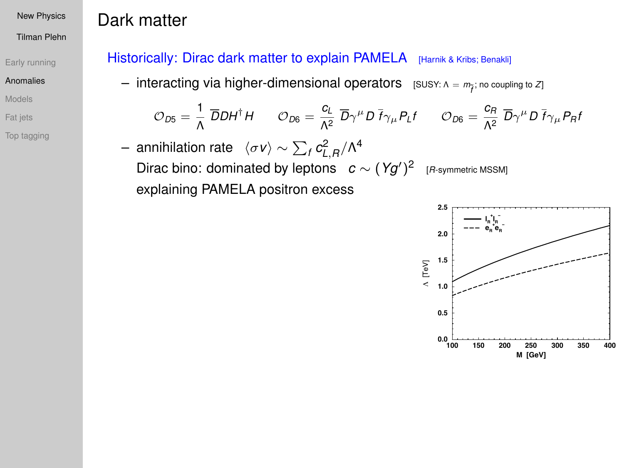Dark matter

Tilman Plehn

#### [Early running](#page-1-0)

#### [Anomalies](#page-5-0)

[Models](#page-11-0)

[Fat jets](#page-29-0)

[Top tagging](#page-36-0)

## Historically: Dirac dark matter to explain PAMELA [Harnik & Kribs; Benakli]

— interacting via higher-dimensional operators  $[$  SUSY:  $Λ = m_{\widetilde{f}}$ ; no coupling to *Z*]

$$
\mathcal{O}_{D5} = \frac{1}{\Lambda} \overline{D} D H^{\dagger} H \qquad \mathcal{O}_{D6} = \frac{c_L}{\Lambda^2} \overline{D} \gamma^{\mu} D \overline{f} \gamma_{\mu} P_L f \qquad \mathcal{O}_{D6} = \frac{c_R}{\Lambda^2} \overline{D} \gamma^{\mu} D \overline{f} \gamma_{\mu} P_R f
$$

 $-$  annihilation rate  $\langle \sigma$ ν $\rangle$  ∼  $\sum_f c^2_{L,R}/\Lambda^4$ Dirac bino: dominated by leptons  $c \sim (Yg')^2$  [*R*-symmetric MSSM] explaining PAMELA positron excess

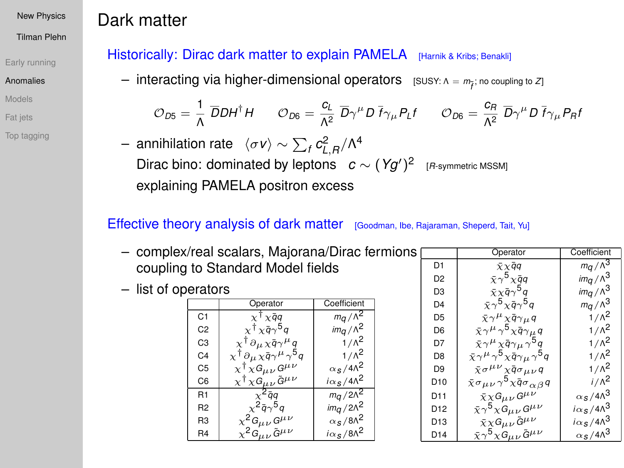Tilman Plehn

#### [Early running](#page-1-0)

#### [Anomalies](#page-5-0)

- [Models](#page-11-0)
- [Fat jets](#page-29-0)
- [Top tagging](#page-36-0)

# Dark matter

## Historically: Dirac dark matter to explain PAMELA [Harnik & Kribs; Benakli]

— interacting via higher-dimensional operators  $[$  SUSY:  $Λ = m_{\widetilde{f}}$ ; no coupling to *Z*]

$$
\mathcal{O}_{D5} = \frac{1}{\Lambda} \; \overline{D} D H^\dagger H \qquad \mathcal{O}_{D6} = \frac{c_L}{\Lambda^2} \; \overline{D} \gamma^\mu D \; \overline{f} \gamma_\mu P_L f \qquad \mathcal{O}_{D6} = \frac{c_R}{\Lambda^2} \; \overline{D} \gamma^\mu D \; \overline{f} \gamma_\mu P_R f
$$

 $-$  annihilation rate  $\langle \sigma$ *ν* $\rangle$  ∼  $\sum_f c_{L,R}^2/\Lambda^4$ Dirac bino: dominated by leptons  $c \sim (Yg')^2$  [*R*-symmetric MSSM] explaining PAMELA positron excess

## Effective theory analysis of dark matter [Goodman, Ibe, Rajaraman, Sheperd, Tait, Yu]

- complex/real scalars, Majorana/Dirac fermions coupling to Standard Model fields
- list of operators

|                | Operator                                                       | Coefficient                                      |
|----------------|----------------------------------------------------------------|--------------------------------------------------|
| C <sub>1</sub> | $x^{\dagger}x\bar{q}q$                                         | $m_q/\Lambda^2$                                  |
| C <sub>2</sub> | $x^{\dagger}x\bar{q}\gamma^{5}q$                               | $im_{\mathcal{G}}/\Lambda^2$                     |
| C <sub>3</sub> | $\chi^{\dagger} \partial_{\mu} \chi \bar{q} \gamma^{\mu} q$    | $1/\lambda^2$                                    |
| C <sub>4</sub> | $\chi^\dagger \partial_\mu \chi \bar{q} \gamma^\mu \gamma^5 q$ | $1/\Lambda^2$                                    |
| C <sub>5</sub> | $\chi^\dagger \chi G_{\mu\nu} G^{\mu\nu}$                      | $\alpha$ <sub>S</sub> /4 $\Lambda$ <sup>2</sup>  |
| C <sub>6</sub> | $\chi^\dagger \chi G_{\mu\nu} \tilde{G}^{\mu\nu}$              | $i\alpha$ <sub>S</sub> /4 $\Lambda$ <sup>2</sup> |
| R <sub>1</sub> | $\chi^2$ āa                                                    | $m_q/2\Lambda^2$                                 |
| R <sub>2</sub> | $\chi^2 \bar{q} \gamma^5 q$                                    | $im_q/2\Lambda^2$                                |
| R <sub>3</sub> | $\chi^2 G_{\mu\nu} G^{\mu\nu}$                                 | $\alpha$ s/8 $\Lambda^2$                         |
| R <sub>4</sub> | $\chi^2 G_{\mu\nu} \tilde{G}^{\mu\nu}$                         | $i\alpha$ <sub>S</sub> /8 $\Lambda^2$            |

|                 | Operator                                                                     | Coefficient                         |
|-----------------|------------------------------------------------------------------------------|-------------------------------------|
| D <sub>1</sub>  | $\bar{x} \times \bar{q} q$                                                   | $mq/\lambda^3$                      |
| D <sub>2</sub>  | $\bar{x} \gamma^5 \chi \bar{q} q$                                            | $im_q/\Lambda^3$                    |
| D3              | $\bar{\chi}\chi\bar{\mathfrak{q}}\gamma^{\mathsf{5}}\mathfrak{q}$            | $im_q/\Lambda^3$                    |
| D <sub>4</sub>  | $\bar{\chi}\gamma^5 \chi \bar{q} \gamma^5 q$                                 | $m_q/\Lambda^3$                     |
| D <sub>5</sub>  | $\bar{x}\gamma^{\mu}\chi\bar{q}\gamma_{\mu}q$                                | $1/\Lambda^2$                       |
| D <sub>6</sub>  | $\bar{\chi}\gamma^\mu\gamma^5\chi\bar{q}\gamma_\mu q$                        | $1/\Lambda^2$                       |
| D7              | $\bar{\chi}\gamma^\mu \chi \bar{q} \gamma_\mu \gamma^5 q$                    | $1/\Lambda^2$                       |
| D <sub>8</sub>  | $\bar{\chi}\gamma^\mu\gamma^5\chi\bar{q}\gamma_\mu\gamma^5q$                 | $1/\Lambda^2$                       |
| D <sub>9</sub>  | $\bar{\chi}\sigma^{\mu\nu}\chi\bar{\mathfrak{q}}\sigma_{\mu\nu}\mathfrak{q}$ | $1/\Lambda^2$                       |
| D <sub>10</sub> | $\bar{x} \sigma_{\mu\nu} \gamma^5 \chi \bar{q} \sigma_{\alpha\beta} q$       | $i/\Lambda^2$                       |
| D <sub>11</sub> | $\bar{\chi} \chi G_{\mu\nu} G^{\mu\nu}$                                      | $\alpha_S/4\Lambda^3$               |
| D <sub>12</sub> | $\bar{\chi}\gamma^5 \chi \dot{G}_{\mu\nu} G^{\mu\nu}$                        | $i\alpha_{s}/4\Lambda^{3}$          |
| D <sub>13</sub> | $\bar{\chi} \chi G_{\mu\nu} \tilde{G}^{\mu\nu}$                              | $i\alpha_{s}/4\Lambda^{3}$          |
| D <sub>14</sub> | $\bar{\chi}\gamma^5 \chi G_{\mu\nu}\tilde{G}^{\mu\nu}$                       | $\alpha$ s/4 $\Lambda$ <sup>3</sup> |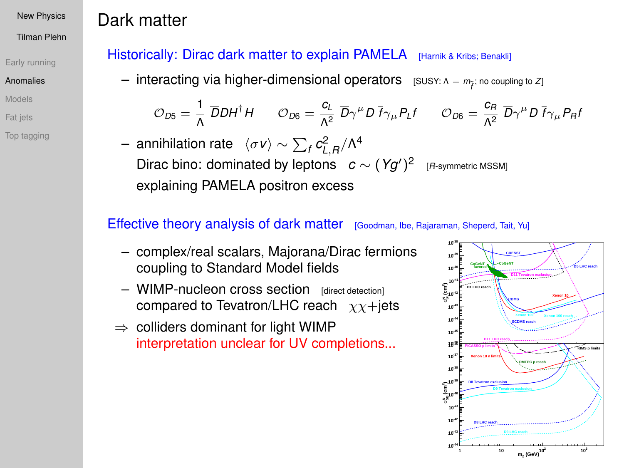Tilman Plehn

#### [Early running](#page-1-0)

#### [Anomalies](#page-5-0)

[Models](#page-11-0)

[Fat jets](#page-29-0)

[Top tagging](#page-36-0)

# Dark matter

## Historically: Dirac dark matter to explain PAMELA [Harnik & Kribs; Benakli]

— interacting via higher-dimensional operators  $[$  SUSY:  $Λ = m_{\widetilde{f}}$ ; no coupling to *Z*]

$$
\mathcal{O}_{D5} = \frac{1}{\Lambda} \; \overline{D} D H^\dagger H \qquad \mathcal{O}_{D6} = \frac{c_L}{\Lambda^2} \; \overline{D} \gamma^\mu D \; \overline{f} \gamma_\mu P_L f \qquad \mathcal{O}_{D6} = \frac{c_R}{\Lambda^2} \; \overline{D} \gamma^\mu D \; \overline{f} \gamma_\mu P_R f
$$

 $-$  annihilation rate  $\langle \sigma$ *ν* $\rangle$  ∼  $\sum_f c_{L,R}^2/\Lambda^4$ Dirac bino: dominated by leptons  $c \sim (Yg')^2$  [*R*-symmetric MSSM] explaining PAMELA positron excess

## Effective theory analysis of dark matter [Goodman, Ibe, Rajaraman, Sheperd, Tait, Yu]

- complex/real scalars, Majorana/Dirac fermions coupling to Standard Model fields
- $-$  WIMP-nucleon cross section  $|$  rdirect detection compared to Tevatron/LHC reach  $\chi\chi +$ jets
- $\Rightarrow$  colliders dominant for light WIMP interpretation unclear for UV completions...

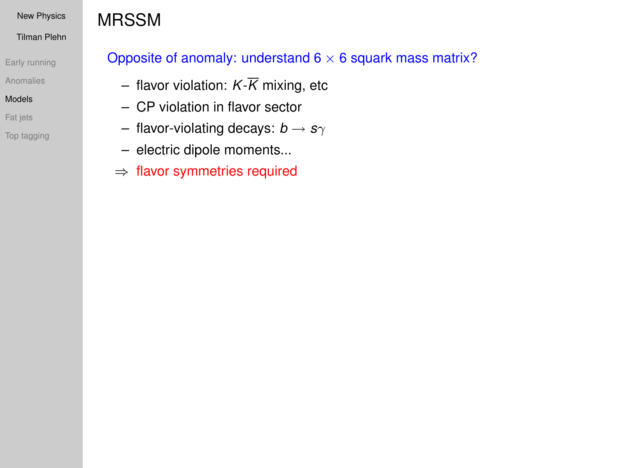#### Tilman Plehn

[Early running](#page-1-0)

[Anomalies](#page-5-0)

#### [Models](#page-11-0)

[Fat jets](#page-29-0)

[Top tagging](#page-36-0)

# MRSSM

## Opposite of anomaly: understand  $6 \times 6$  squark mass matrix?

- flavor violation:  $K\overline{K}$  mixing, etc
- CP violation in flavor sector
- flavor-violating decays: *b* → *s*γ
- electric dipole moments...
- <span id="page-11-0"></span>⇒ flavor symmetries required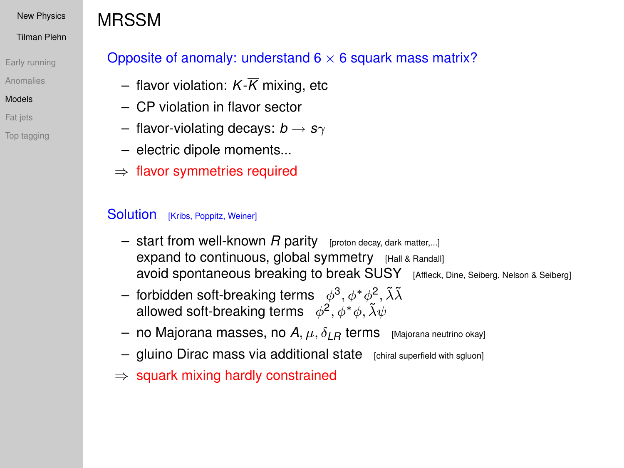#### Tilman Plehn

[Early running](#page-1-0)

[Anomalies](#page-5-0)

#### [Models](#page-11-0)

[Fat jets](#page-29-0)

[Top tagging](#page-36-0)

# MRSSM

## Opposite of anomaly: understand  $6 \times 6$  squark mass matrix?

- $-$  flavor violation:  $K\overline{K}$  mixing, etc
- CP violation in flavor sector
- $-$  flavor-violating decays:  $b \rightarrow s\gamma$
- electric dipole moments...
- ⇒ flavor symmetries required

### Solution [Kribs, Poppitz, Weiner]

- $-$  start from well-known  $R$  parity [proton decay, dark matter,...] expand to continuous, global symmetry [Hall & Randall] avoid spontaneous breaking to break SUSY [Affleck, Dine, Seiberg, Nelson & Seiberg]
- $-$  forbidden soft-breaking terms  $\phi^3, \phi^*\phi^2, \tilde\lambda\tilde\lambda$ allowed soft-breaking terms  $\phi^2, \phi^*\phi, \tilde\lambda\psi$
- $-$  no Majorana masses, no  $A, \mu, \delta_{LR}$  terms [Majorana neutrino okay]
- gluino Dirac mass via additional state [chiral superfield with sgluon]
- $\Rightarrow$  squark mixing hardly constrained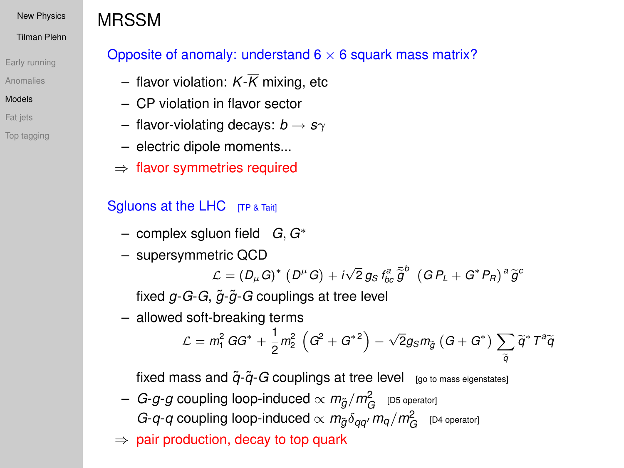#### Tilman Plehn

[Early running](#page-1-0)

[Anomalies](#page-5-0)

### [Models](#page-11-0)

[Fat jets](#page-29-0)

[Top tagging](#page-36-0)

# MRSSM

## Opposite of anomaly: understand  $6 \times 6$  squark mass matrix?

- $-$  flavor violation:  $K\overline{K}$  mixing, etc
- CP violation in flavor sector
- $-$  flavor-violating decays:  $b \rightarrow s\gamma$
- electric dipole moments...
- ⇒ flavor symmetries required

## Sgluons at the LHC [TP & Tait]

- complex sgluon field *G*, *G*<sup>∗</sup>
- supersymmetric QCD

 $\mathcal{L} = (D_{\mu} G)^{*} (D^{\mu} G) + i \sqrt{2} g_{S} f_{bc}^{a} \tilde{\bar{g}}^{b} (G P_{L} + G^{*} P_{R})^{a} \tilde{g}^{c}$ 

fixed *g*-*G*-*G*,  $\tilde{q}$ - $\tilde{q}$ -*G* couplings at tree level

– allowed soft-breaking terms

$$
\mathcal{L}=m_1^2\,G G^*+\frac{1}{2}m_2^2\,\left(G^2+G^{*2}\right)-\sqrt{2}g_S m_{\widetilde{g}}\left(G+G^*\right)\sum_{\widetilde{q}}\widetilde{q}^*\,T^a\widetilde{q}
$$

fixed mass and  $\tilde{q}$ - $\tilde{q}$ -*G* couplings at tree level  $_{[go\ to\ mass\ eigenstates]}$ 

- $-$  *G-g-g* coupling loop-induced  $\propto$   $m_{\tilde{g}}/m_G^2$   $\,$  [D5 operator] *G-q-q* coupling loop-induced  $\propto m_{\tilde{g}} \delta_{qq'} m_q/m_G^2$  [D4 operator]
- $\Rightarrow$  pair production, decay to top quark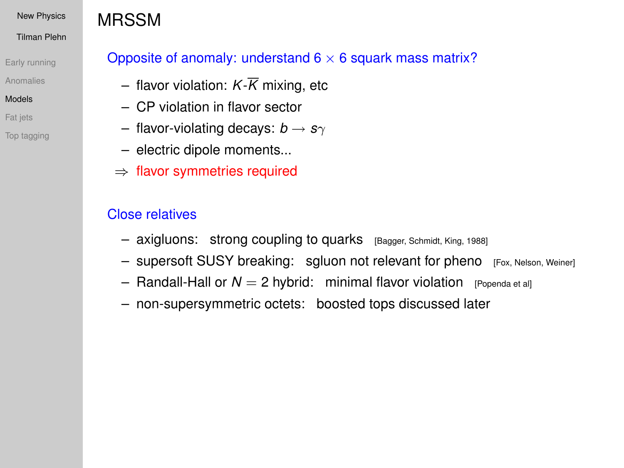#### Tilman Plehn

[Early running](#page-1-0)

[Anomalies](#page-5-0)

### [Models](#page-11-0)

[Fat jets](#page-29-0)

[Top tagging](#page-36-0)

# MRSSM

## Opposite of anomaly: understand  $6 \times 6$  squark mass matrix?

- flavor violation:  $K\overline{K}$  mixing, etc
- CP violation in flavor sector
- $-$  flavor-violating decays:  $b \rightarrow s\gamma$
- electric dipole moments...
- ⇒ flavor symmetries required

## Close relatives

- axigluons: strong coupling to quarks [Bagger, Schmidt, King, 1988]
- supersoft SUSY breaking: sgluon not relevant for pheno [Fox, Nelson, Weiner]
- $-$  Randall-Hall or  $N = 2$  hybrid: minimal flavor violation [Popenda et al]
- non-supersymmetric octets: boosted tops discussed later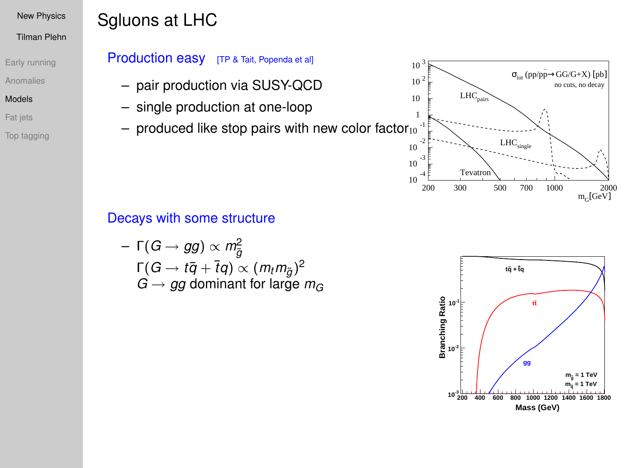Tilman Plehn

[Early running](#page-1-0)

[Anomalies](#page-5-0)

[Models](#page-11-0)

[Fat jets](#page-29-0)

[Top tagging](#page-36-0)

# Sgluons at LHC

## Production easy [TP & Tait, Popenda et al]

- pair production via SUSY-QCD
- single production at one-loop
- $-$  produced like stop pairs with new color factor $_{10}^-$

# Decays with some structure

$$
\begin{aligned}\n&-\Gamma(G \to gg) \propto m_{\tilde{g}}^2 \\
&\Gamma(G \to t\bar{q} + \bar{t}q) \propto (m_t m_{\tilde{g}})^2 \\
&\quad G \to gg \text{ dominant for large } m_G\n\end{aligned}
$$



 $LHC<sub>single</sub>$ 

 $LHC_{\odot}$ 

 $σ<sub>tot</sub>$  (pp/pp $\rightarrow$ GG/G+X) [pb]

no cuts, no decay

10 -3 10 -2 -1 1 10  $10<sup>2</sup>$  $10^{-3}$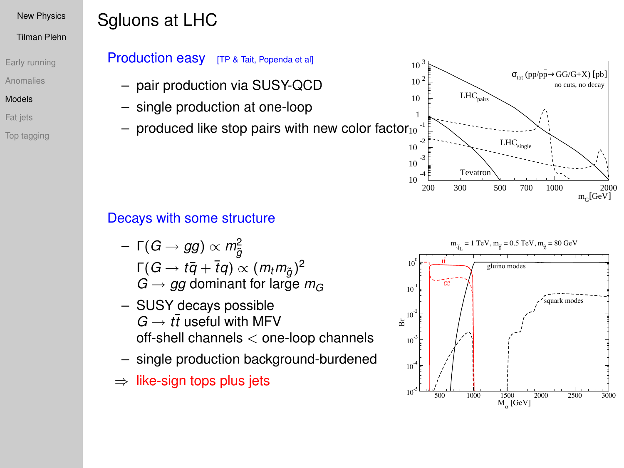Tilman Plehn

[Early running](#page-1-0)

[Anomalies](#page-5-0)

[Models](#page-11-0)

[Fat jets](#page-29-0)

[Top tagging](#page-36-0)

# Sgluons at LHC

## Production easy [TP & Tait, Popenda et al]

- pair production via SUSY-QCD
- single production at one-loop
- $-$  produced like stop pairs with new color factor $_{10}^-$

## Decays with some structure

- Γ(*G* → *gg*) ∝ *m*<sup>2</sup> *g*˜  $Γ(G → t\bar{q} + \bar{t}q) \propto (m_t m_{\tilde{g}})^2$  $G \rightarrow gg$  dominant for large  $m_G$
- SUSY decays possible  $G \rightarrow t\bar{t}$  useful with MFV off-shell channels < one-loop channels
- single production background-burdened
- $\Rightarrow$  like-sign tops plus jets



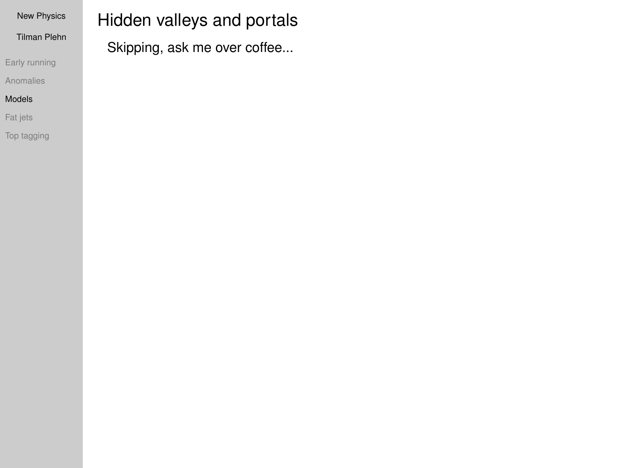| <b>New Physics</b>  | Hidden valleys and portals   |
|---------------------|------------------------------|
| <b>Tilman Plehn</b> | Skipping, ask me over coffee |
| Early running       |                              |

### [Anomalies](#page-5-0) [Models](#page-11-0)

[Fat jets](#page-29-0)

[Top tagging](#page-36-0)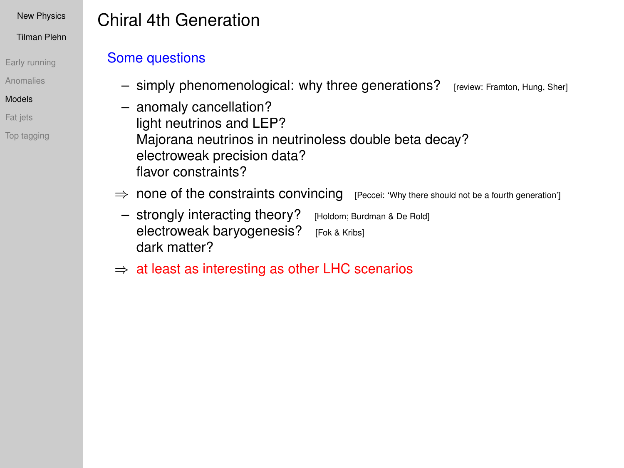Tilman Plehn

[Early running](#page-1-0)

[Anomalies](#page-5-0)

#### [Models](#page-11-0)

[Fat jets](#page-29-0)

[Top tagging](#page-36-0)

# Chiral 4th Generation

## Some questions

- simply phenomenological: why three generations? [review: Framton, Hung, Sher]
- anomaly cancellation? light neutrinos and LEP? Majorana neutrinos in neutrinoless double beta decay? electroweak precision data? flavor constraints?
- ⇒ none of the constraints convincing [Peccei: 'Why there should not be a fourth generation']
	- strongly interacting theory? [Holdom; Burdman & De Rold] electroweak baryogenesis? [Fok & Kribs] dark matter?
- $\Rightarrow$  at least as interesting as other LHC scenarios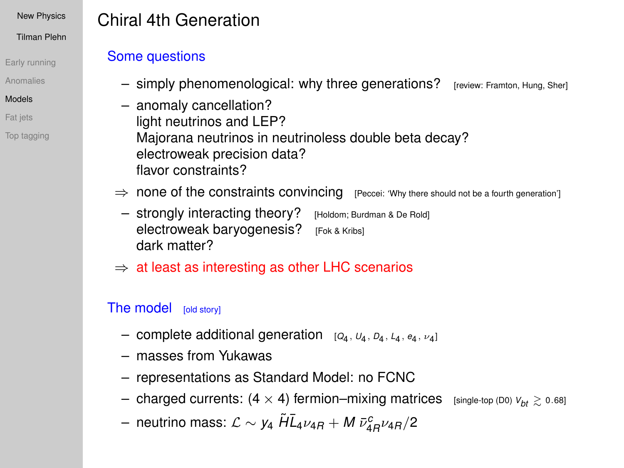Tilman Plehn

- [Early running](#page-1-0)
- [Anomalies](#page-5-0)
- [Models](#page-11-0)
- [Fat jets](#page-29-0)
- [Top tagging](#page-36-0)

# Chiral 4th Generation

## Some questions

- simply phenomenological: why three generations? [review: Framton, Hung, Sher]
- anomaly cancellation? light neutrinos and LEP? Majorana neutrinos in neutrinoless double beta decay? electroweak precision data? flavor constraints?
- ⇒ none of the constraints convincing [Peccei: 'Why there should not be a fourth generation']
	- strongly interacting theory? [Holdom; Burdman & De Rold] electroweak baryogenesis? [Fok & Kribs] dark matter?
- $\Rightarrow$  at least as interesting as other LHC scenarios

## The model [old story]

- complete additional generation  $[Q_4, U_4, D_4, L_4, e_4, \nu_4]$
- masses from Yukawas
- representations as Standard Model: no FCNC
- $-$  charged currents:  $(4 \times 4)$  fermion–mixing matrices [single-top (D0)  $V_{bt} \ge 0.68$ ]
- $-$  neutrino mass:  $\mathcal{L} \sim$   $y_4$   $\tilde{H} \bar{L}_4 \nu_{4R} + M \, \bar{\nu}_{4R}^c \nu_{4R}/2$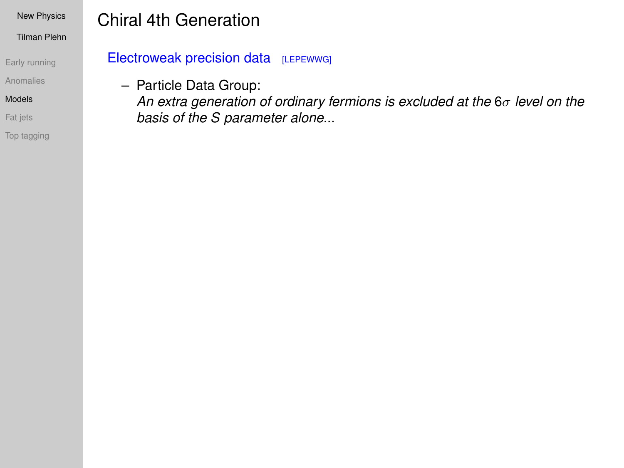Tilman Plehn

[Early running](#page-1-0)

[Anomalies](#page-5-0)

[Models](#page-11-0)

[Fat jets](#page-29-0)

[Top tagging](#page-36-0)

# Chiral 4th Generation

## Electroweak precision data [LEPEWWG]

– Particle Data Group:

*An extra generation of ordinary fermions is excluded at the* 6σ *level on the basis of the S parameter alone...*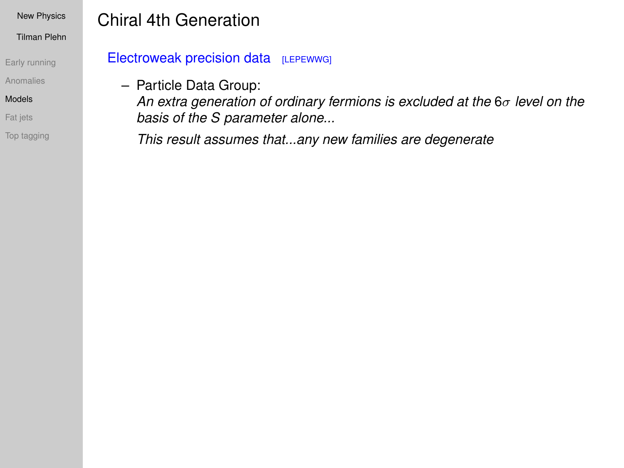Tilman Plehn

[Early running](#page-1-0)

[Anomalies](#page-5-0)

[Models](#page-11-0)

[Fat jets](#page-29-0)

[Top tagging](#page-36-0)

# Chiral 4th Generation

Electroweak precision data [LEPEWWG]

– Particle Data Group:

*An extra generation of ordinary fermions is excluded at the* 6σ *level on the basis of the S parameter alone...*

*This result assumes that...any new families are degenerate*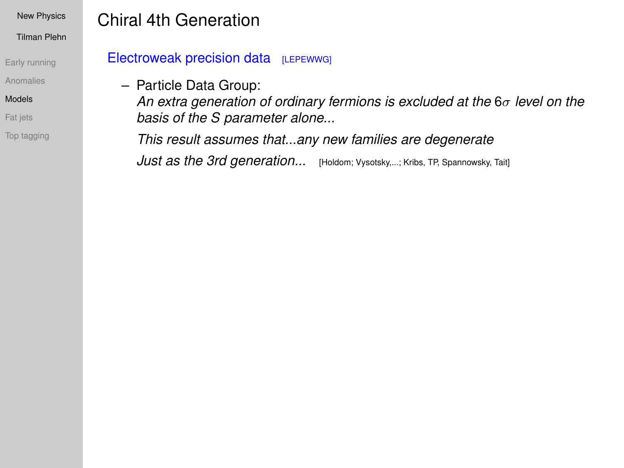Tilman Plehn

[Early running](#page-1-0)

[Anomalies](#page-5-0)

[Models](#page-11-0)

[Fat jets](#page-29-0)

[Top tagging](#page-36-0)

# Chiral 4th Generation

Electroweak precision data [LEPEWWG]

– Particle Data Group:

*An extra generation of ordinary fermions is excluded at the* 6σ *level on the basis of the S parameter alone...*

*This result assumes that...any new families are degenerate Just as the 3rd generation...* [Holdom; Vysotsky,...; Kribs, TP, Spannowsky, Tait]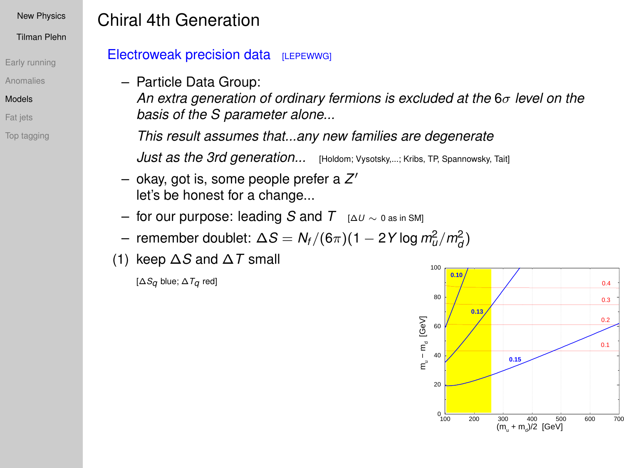Tilman Plehn

- [Early running](#page-1-0)
- [Anomalies](#page-5-0)
- [Models](#page-11-0)
- [Fat jets](#page-29-0)
- [Top tagging](#page-36-0)

# Chiral 4th Generation

## Electroweak precision data [LEPEWWG]

– Particle Data Group:

*An extra generation of ordinary fermions is excluded at the* 6σ *level on the basis of the S parameter alone...*

*This result assumes that...any new families are degenerate*

*Just as the 3rd generation...* [Holdom; Vysotsky,...; Kribs, TP, Spannowsky, Tait]

- okay, got is, some people prefer a *Z* 0 let's be honest for a change...
- for our purpose: leading *S* and *T* [∆*<sup>U</sup>* <sup>∼</sup> 0 as in SM]
- $-$  remember doublet:  $\Delta S = N_f/(6\pi)(1 2Y \log m_d^2/m_d^2)$
- (1) keep ∆*S* and ∆*T* small

[∆*Sq* blue; ∆*Tq* red]

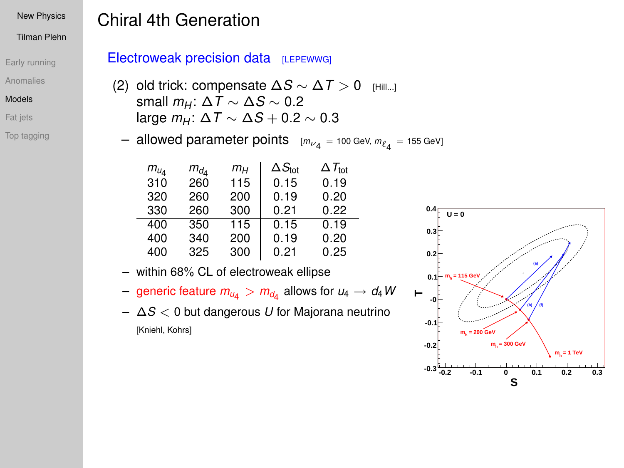#### Tilman Plehn

- [Early running](#page-1-0)
- [Anomalies](#page-5-0)
- [Models](#page-11-0)
- [Fat jets](#page-29-0)
- [Top tagging](#page-36-0)

## Chiral 4th Generation

### Electroweak precision data [LEPEWWG]

- (2) old trick: compensate ∆*S* ∼ ∆*T* > 0 [Hill...] small  $m_H$ :  $\Delta T \sim \Delta S \sim 0.2$ large  $m_H$ :  $\Delta T \sim \Delta S + 0.2 \sim 0.3$
- $-$  allowed parameter points  $[m_{\nu_4} =$  100 GeV,  $m_{\ell_4} =$  155 GeV]

| $m_{u}$ | $m_{d_A}$ | mн  | $\Delta S_{\rm tot}$ | $\Delta T_{\rm tot}$ |
|---------|-----------|-----|----------------------|----------------------|
| 310     | 260       | 115 | 0.15                 | 0.19                 |
| 320     | 260       | 200 | 0.19                 | 0.20                 |
| 330     | 260       | 300 | 0.21                 | 0.22                 |
| 400     | 350       | 115 | 0.15                 | 0.19                 |
| 400     | 340       | 200 | 0.19                 | 0.20                 |
| 400     | 325       | 300 | 0.21                 | 0.25                 |

- within 68% CL of electroweak ellipse
- $-$  generic feature  $m_{\mathsf{u}_4} > m_{\mathsf{d}_4}$  allows for  $\mathsf{u}_4 \to \mathsf{d}_4\,\mathsf{W}$
- ∆*S* < 0 but dangerous *U* for Majorana neutrino [Kniehl, Kohrs]

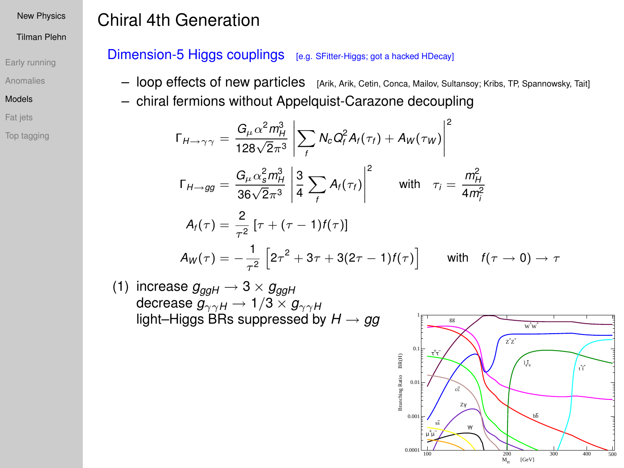#### Tilman Plehn

[Early running](#page-1-0)

[Anomalies](#page-5-0)

#### [Models](#page-11-0)

[Fat jets](#page-29-0)

[Top tagging](#page-36-0)

# Chiral 4th Generation

## Dimension-5 Higgs couplings [e.g. SFitter-Higgs; got a hacked HDecay]

- loop effects of new particles [Arik, Arik, Cetin, Conca, Mailov, Sultansoy; Kribs, TP, Spannowsky, Tait]
- chiral fermions without Appelquist-Carazone decoupling

$$
\Gamma_{H \to \gamma\gamma} = \frac{G_{\mu} \alpha^2 m_H^3}{128\sqrt{2}\pi^3} \left| \sum_f N_c Q_f^2 A_f(\tau_f) + A_W(\tau_W) \right|^2
$$
  
\n
$$
\Gamma_{H \to gg} = \frac{G_{\mu} \alpha_s^2 m_H^3}{36\sqrt{2}\pi^3} \left| \frac{3}{4} \sum_f A_f(\tau_f) \right|^2 \qquad \text{with} \quad \tau_i = \frac{m_H^2}{4m_i^2}
$$
  
\n
$$
A_f(\tau) = \frac{2}{\tau^2} \left[ \tau + (\tau - 1)f(\tau) \right]
$$
  
\n
$$
A_W(\tau) = -\frac{1}{\tau^2} \left[ 2\tau^2 + 3\tau + 3(2\tau - 1)f(\tau) \right] \qquad \text{with} \quad f(\tau \to 0) \to \tau
$$

(1) increase  $g_{ggH} \rightarrow 3 \times g_{ggH}$ decrease  $g_{\gamma\gamma H}\rightarrow$  1/3  $\times$   $g_{\gamma\gamma H}$ light–Higgs BRs suppressed by *H* → *gg*

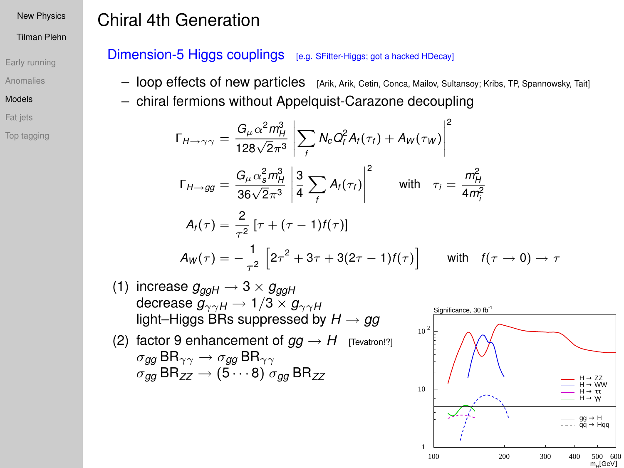#### Tilman Plehn

[Early running](#page-1-0)

[Anomalies](#page-5-0)

#### [Models](#page-11-0)

[Fat jets](#page-29-0)

[Top tagging](#page-36-0)

# Chiral 4th Generation

## Dimension-5 Higgs couplings [e.g. SFitter-Higgs; got a hacked HDecay]

- loop effects of new particles [Arik, Arik, Cetin, Conca, Mailov, Sultansoy; Kribs, TP, Spannowsky, Tait]
- chiral fermions without Appelquist-Carazone decoupling

$$
\Gamma_{H \to \gamma\gamma} = \frac{G_{\mu} \alpha^2 m_H^3}{128\sqrt{2}\pi^3} \left| \sum_f N_c Q_f^2 A_f(\tau_f) + A_W(\tau_W) \right|^2
$$
  
\n
$$
\Gamma_{H \to gg} = \frac{G_{\mu} \alpha_s^2 m_H^3}{36\sqrt{2}\pi^3} \left| \frac{3}{4} \sum_f A_f(\tau_f) \right|^2 \qquad \text{with} \quad \tau_i = \frac{m_H^2}{4m_i^2}
$$
  
\n
$$
A_f(\tau) = \frac{2}{\tau^2} \left[ \tau + (\tau - 1)f(\tau) \right]
$$
  
\n
$$
A_W(\tau) = -\frac{1}{\tau^2} \left[ 2\tau^2 + 3\tau + 3(2\tau - 1)f(\tau) \right] \qquad \text{with} \quad f(\tau \to 0) \to \tau
$$

- (1) increase  $g_{\alpha\alpha H} \rightarrow 3 \times g_{\alpha\alpha H}$ decrease  $g_{\gamma\gamma H} \to 1/3 \times g_{\gamma\gamma H}$ light–Higgs BRs suppressed by *H* → *gg*
- (2) factor 9 enhancement of  $gg \rightarrow H$  [Tevatron!?] σ*gg* BRγγ → σ*gg* BRγγ  $\sigma_{qq}$  BR<sub>ZZ</sub>  $\rightarrow$  (5  $\cdots$  8)  $\sigma_{qq}$  BR<sub>ZZ</sub>

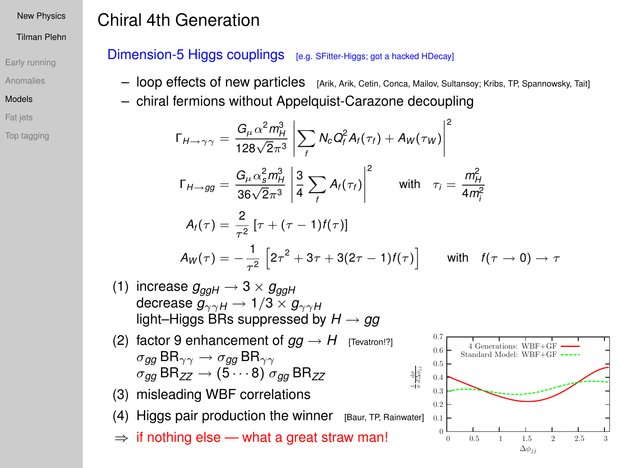#### Tilman Plehn

[Early running](#page-1-0)

[Anomalies](#page-5-0)

[Models](#page-11-0)

[Fat jets](#page-29-0)

[Top tagging](#page-36-0)

# Chiral 4th Generation

## Dimension-5 Higgs couplings [e.g. SFitter-Higgs; got a hacked HDecay]

- loop effects of new particles [Arik, Arik, Cetin, Conca, Mailov, Sultansoy; Kribs, TP, Spannowsky, Tait]
- chiral fermions without Appelquist-Carazone decoupling

$$
\Gamma_{H \to \gamma\gamma} = \frac{G_{\mu} \alpha^2 m_H^3}{128\sqrt{2}\pi^3} \left| \sum_f N_c Q_f^2 A_f(\tau_f) + A_W(\tau_W) \right|^2
$$
  
\n
$$
\Gamma_{H \to gg} = \frac{G_{\mu} \alpha_s^2 m_H^3}{36\sqrt{2}\pi^3} \left| \frac{3}{4} \sum_f A_f(\tau_f) \right|^2 \qquad \text{with} \quad \tau_i = \frac{m_H^2}{4m_i^2}
$$
  
\n
$$
A_f(\tau) = \frac{2}{\tau^2} \left[ \tau + (\tau - 1)f(\tau) \right]
$$
  
\n
$$
A_W(\tau) = -\frac{1}{\tau^2} \left[ 2\tau^2 + 3\tau + 3(2\tau - 1)f(\tau) \right] \qquad \text{with} \quad f(\tau \to 0) \to \tau
$$

- (1) increase  $g_{\alpha\alpha H} \rightarrow 3 \times g_{\alpha\alpha H}$ decrease  $g_{\gamma\gamma H} \rightarrow 1/3 \times g_{\gamma\gamma H}$ light–Higgs BRs suppressed by *H* → *gg*
- (2) factor 9 enhancement of  $gg \rightarrow H$  [Tevatron!?] σ*gg* BRγγ → σ*gg* BRγγ  $\sigma_{qq}$  BR<sub>ZZ</sub>  $\rightarrow$  (5  $\cdots$  8)  $\sigma_{qq}$  BR<sub>ZZ</sub>
- (3) misleading WBF correlations

 $(4)$  Higgs pair production the winner [Baur, TP, Rainwater]

 $\Rightarrow$  if nothing else — what a great straw man!

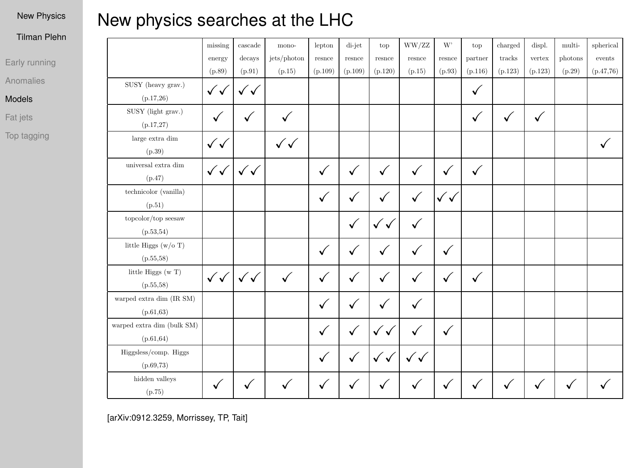#### Tilman Plehn

[Early running](#page-1-0)

[Anomalies](#page-5-0)

#### [Models](#page-11-0)

[Fat jets](#page-29-0)

[Top tagging](#page-36-0)

# New physics searches at the LHC

|                            | missing      | cascade      | mono-        | lepton  | di-jet       | top          | WW/ZZ        | W'           | top     | charged | displ.  | multi-  | spherical |
|----------------------------|--------------|--------------|--------------|---------|--------------|--------------|--------------|--------------|---------|---------|---------|---------|-----------|
|                            | energy       | decays       | jets/photon  | resnee  | resnce       | resnce       | resnce       | resnce       | partner | tracks  | vertex  | photons | events    |
|                            | (p.89)       | (p.91)       | (p.15)       | (p.109) | (p.109)      | (p.120)      | (p.15)       | (p.93)       | (p.116) | (p.123) | (p.123) | (p.29)  | (p.47.76) |
| SUSY (heavy grav.)         | ✓√           | $\checkmark$ |              |         |              |              |              |              | ✓       |         |         |         |           |
| (p.17, 26)                 |              |              |              |         |              |              |              |              |         |         |         |         |           |
| SUSY (light grav.)         | ✓            | $\checkmark$ | ✓            |         |              |              |              |              | ✓       | ✓       | ✓       |         |           |
| (p.17,27)                  |              |              |              |         |              |              |              |              |         |         |         |         |           |
| large extra dim            | ✓✓           |              | ✓✓           |         |              |              |              |              |         |         |         |         |           |
| (p.39)                     |              |              |              |         |              |              |              |              |         |         |         |         |           |
| universal extra dim        | ✓✓           | ✓√           |              | ✓       | ✓            | √            | ✓            | ✓            | ✓       |         |         |         |           |
| (p.47)                     |              |              |              |         |              |              |              |              |         |         |         |         |           |
| technicolor (vanilla)      |              |              |              | ✓       | $\checkmark$ | ✓            | $\checkmark$ | ✓√           |         |         |         |         |           |
| (p.51)                     |              |              |              |         |              |              |              |              |         |         |         |         |           |
| topcolor/top seesaw        |              |              |              |         | $\checkmark$ | $\checkmark$ | ✓            |              |         |         |         |         |           |
| (p.53, 54)                 |              |              |              |         |              |              |              |              |         |         |         |         |           |
| little Higgs (w/o T)       |              |              |              | ✓       | $\checkmark$ | ✓            | ✓            | ✓            |         |         |         |         |           |
| (p.55, 58)                 |              |              |              |         |              |              |              |              |         |         |         |         |           |
| little Higgs (w T)         | $\checkmark$ | $\checkmark$ | $\checkmark$ | ✓       | ✓            | ✓            | ✓            | ✓            | ✓       |         |         |         |           |
| (p.55, 58)                 |              |              |              |         |              |              |              |              |         |         |         |         |           |
| warped extra dim (IR SM)   |              |              |              | ✓       | ✓            | ✓            | ✓            |              |         |         |         |         |           |
| (p.61, 63)                 |              |              |              |         |              |              |              |              |         |         |         |         |           |
| warped extra dim (bulk SM) |              |              |              | ✓       | $\checkmark$ | $\checkmark$ | ✓            | $\checkmark$ |         |         |         |         |           |
| (p.61, 64)                 |              |              |              |         |              |              |              |              |         |         |         |         |           |
| Higgsless/comp. Higgs      |              |              |              | ✓       | $\checkmark$ | ✓✓           | $\checkmark$ |              |         |         |         |         |           |
| (p.69, 73)                 |              |              |              |         |              |              |              |              |         |         |         |         |           |
| hidden valleys             | ✓            | $\checkmark$ |              | ✓       | $\checkmark$ |              |              | ✓            | ✓       | √       |         | ✓       |           |
| (p.75)                     |              |              |              |         |              | √            |              |              |         |         |         |         |           |

[arXiv:0912.3259, Morrissey, TP, Tait]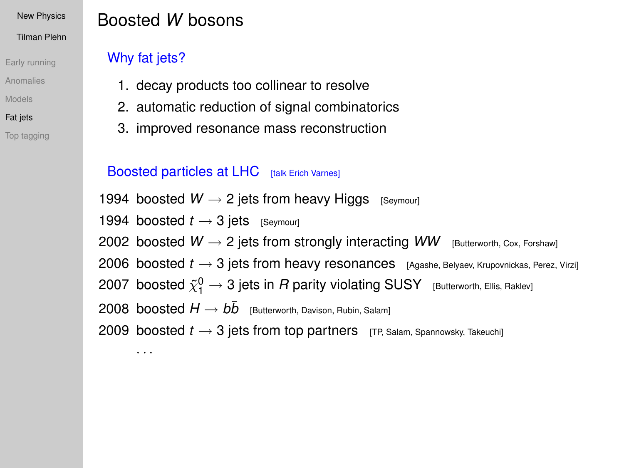### [New Physics](#page-0-0) Tilman Plehn

[Early running](#page-1-0) [Anomalies](#page-5-0)

[Models](#page-11-0)

[Fat jets](#page-29-0)

[Top tagging](#page-36-0)

# Boosted *W* bosons

## Why fat jets?

· · ·

- 1. decay products too collinear to resolve
- 2. automatic reduction of signal combinatorics
- 3. improved resonance mass reconstruction

## Boosted particles at LHC [talk Erich Varnes]

1994 boosted  $W \rightarrow 2$  jets from heavy Higgs [Seymour]

1994 boosted  $t \rightarrow 3$  jets [Seymour]

2002 boosted  $W \rightarrow 2$  jets from strongly interacting  $WW$  [Butterworth, Cox, Forshaw]

2006 boosted  $t \rightarrow 3$  jets from heavy resonances [Agashe, Belyaev, Krupovnickas, Perez, Virzi]

2007 boosted  $\tilde{\chi}^0_1 \rightarrow$  3 jets in  $R$  parity violating SUSY  $_{\rm [Butterworth, \, Ellis, \, Raklev]}$ 

 $2008\,$  boosted  $H\to b\bar b\,$  [Butterworth, Davison, Rubin, Salam]

<span id="page-29-0"></span>2009 boosted  $t \rightarrow 3$  jets from top partners [TP, Salam, Spannowsky, Takeuchi]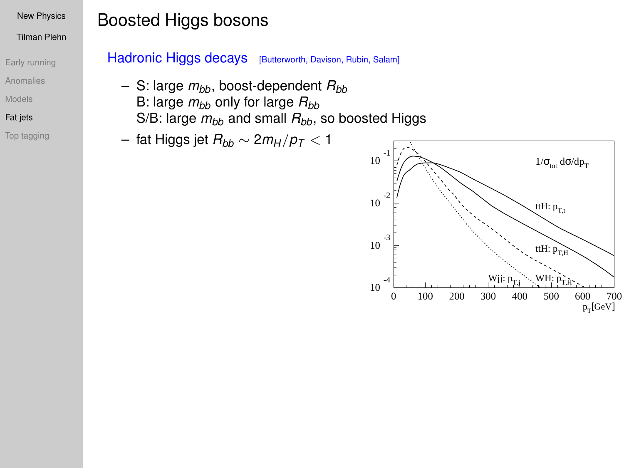#### Tilman Plehn

- [Early running](#page-1-0)
- [Anomalies](#page-5-0)
- [Models](#page-11-0)
- [Fat jets](#page-29-0)
- [Top tagging](#page-36-0)

# Boosted Higgs bosons

### Hadronic Higgs decays [Butterworth, Davison, Rubin, Salam]

- $-$  S: large  $m_{bb}$ , boost-dependent  $R_{bb}$ 
	- B: large  $m_{bb}$  only for large  $R_{bb}$
	- S/B: large  $m_{bb}$  and small  $R_{bb}$ , so boosted Higgs
- fat Higgs jet *Rbb* ∼ 2*m<sup>H</sup>* /*p<sup>T</sup>* < 1

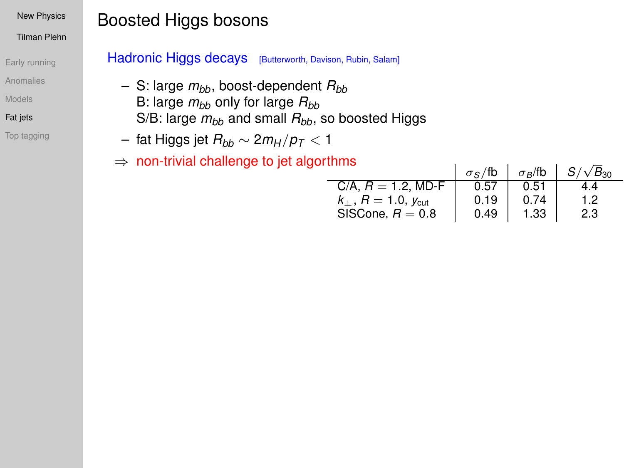#### Tilman Plehn

- [Early running](#page-1-0)
- [Anomalies](#page-5-0)
- [Models](#page-11-0)
- [Fat jets](#page-29-0)
- [Top tagging](#page-36-0)

# Boosted Higgs bosons

### Hadronic Higgs decays [Butterworth, Davison, Rubin, Salam]

- $-$  S: large  $m_{bb}$ , boost-dependent  $R_{bb}$ B: large  $m_{bb}$  only for large  $R_{bb}$ S/B: large  $m_{bb}$  and small  $R_{bb}$ , so boosted Higgs
- fat Higgs jet *Rbb* ∼ 2*m<sup>H</sup>* /*p<sup>T</sup>* < 1
- $\Rightarrow$  non-trivial challenge to jet algorthms

|      |                | $S/\sqrt{B_{30}}$ |
|------|----------------|-------------------|
|      |                |                   |
| 0.57 | 0.51           | 14                |
| 0.19 | 0.74           | 12                |
| 0.49 | 1.33           | 2.3               |
|      | $\sigma$ s /fb | $\sigma_B$ /fb    |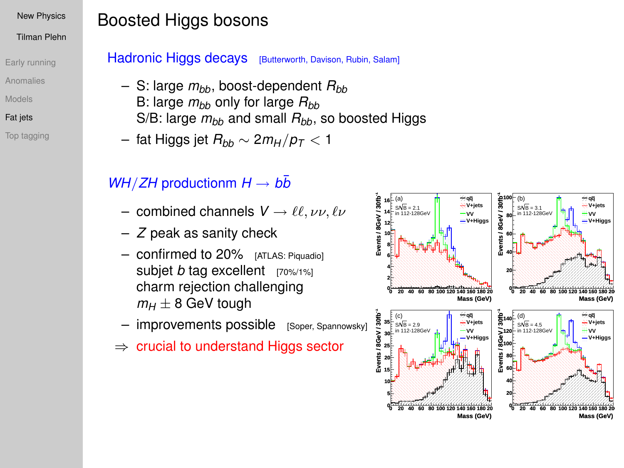#### Tilman Plehn

- [Early running](#page-1-0)
- [Anomalies](#page-5-0)
- [Models](#page-11-0)
- [Fat jets](#page-29-0)
- [Top tagging](#page-36-0)

# Boosted Higgs bosons

## Hadronic Higgs decays [Butterworth, Davison, Rubin, Salam]

- $-$  S: large  $m_{bb}$ , boost-dependent  $R_{bb}$ B: large  $m_{bb}$  only for large  $R_{bb}$ S/B: large  $m_{bb}$  and small  $R_{bb}$ , so boosted Higgs
- fat Higgs jet *Rbb* ∼ 2*m<sup>H</sup>* /*p<sup>T</sup>* < 1

## *WH*/*ZH* productionm  $H \rightarrow b\bar{b}$

- combined channels  $V \rightarrow \ell \ell, \nu \nu, \ell \nu$
- *Z* peak as sanity check
- confirmed to 20% [ATLAS: Piquadio] subjet *b* tag excellent [70%/1%] charm rejection challenging  $m_H \pm 8$  GeV tough
- $-$  improvements possible  $[S_{\text{Oper}}, S_{\text{pannowsky}}]$
- $\Rightarrow$  crucial to understand Higgs sector

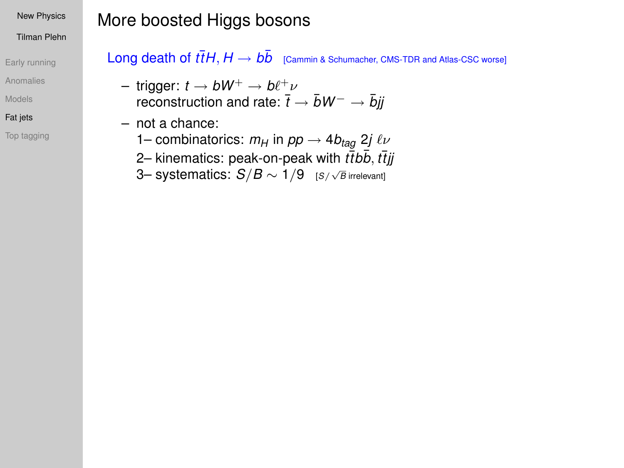#### Tilman Plehn

- [Early running](#page-1-0)
- [Anomalies](#page-5-0)
- [Models](#page-11-0)
- [Fat jets](#page-29-0)
- [Top tagging](#page-36-0)

# More boosted Higgs bosons

 $\mathsf{Long}\ \mathsf{death}\ \mathsf{of}\ \bar{tH}, H \to b\bar{b} \quad$  [Cammin & Schumacher, CMS-TDR and Atlas-CSC worse]

- $-$  trigger:  $t \to b W^+ \to b \ell^+ \nu$ reconstruction and rate:  $\bar{t}$  →  $\bar{b}W^-$  →  $\bar{b}jj$
- not a chance:
	- 1– combinatorics:  $m_H$  in  $pp \rightarrow 4b_{tag}$  2*j*  $\ell \nu$
	- 2– kinematics: peak-on-peak with *t*¯*tbb* ¯, *t*¯*tjj*
	- 3– systematics: *S*/*B* ∼ 1/9 [*S*/ √ *B* irrelevant]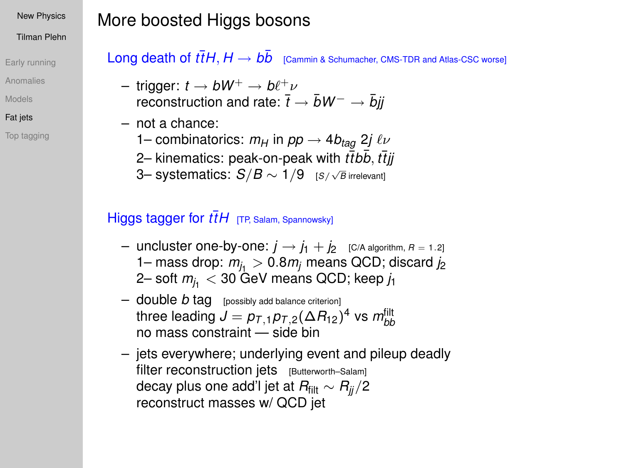#### Tilman Plehn

- [Early running](#page-1-0)
- [Anomalies](#page-5-0)
- [Models](#page-11-0)
- [Fat jets](#page-29-0)
- [Top tagging](#page-36-0)

# More boosted Higgs bosons

 $\mathsf{Long}\ \mathsf{death}\ \mathsf{of}\ \bar{tH}, H \to b\bar{b} \quad$  [Cammin & Schumacher, CMS-TDR and Atlas-CSC worse]

- $-$  trigger:  $t \to b W^+ \to b \ell^+ \nu$ reconstruction and rate:  $\overline{t} \rightarrow \overline{b}W^{-} \rightarrow \overline{b}ii$
- not a chance:
	- 1– combinatorics:  $m_H$  in  $pp \rightarrow 4b_{tag}$  2*j*  $\ell \nu$
	- 2– kinematics: peak-on-peak with *t*¯*tbb* ¯, *t*¯*tjj*
	- 3– systematics: *S*/*B* ∼ 1/9 [*S*/ √ *B* irrelevant]

## Higgs tagger for  $t\bar{t}H$  [TP, Salam, Spannowsky]

- uncluster one-by-one:  $j \rightarrow j_1 + j_2$  [C/A algorithm,  $R = 1.2$ ] 1– mass drop:  $m<sub>i</sub>$  > 0.8 $m<sub>j</sub>$  means QCD; discard  $j<sub>2</sub>$ 2– soft  $m<sub>j<sub>1</sub></sub>$  < 30 GeV means QCD; keep  $j<sub>1</sub>$
- $-$  double *b* tag [possibly add balance criterion] three leading  $J = \rho_{T,\,1} \rho_{T,\,2} (\Delta R_{12})^4$  vs  $m_{bb}^{\rm{filt}}$ no mass constraint — side bin
- jets everywhere; underlying event and pileup deadly filter reconstruction jets [Butterworth–Salam] decay plus one add'l jet at *R*filt ∼ *Rjj*/2 reconstruct masses w/ QCD jet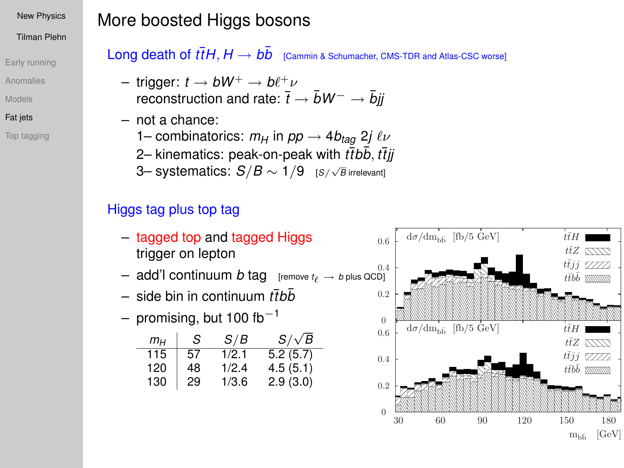#### Tilman Plehn

- [Early running](#page-1-0)
- [Anomalies](#page-5-0)
- [Models](#page-11-0)
- [Fat jets](#page-29-0)
- [Top tagging](#page-36-0)

# More boosted Higgs bosons

 $\mathsf{Long}\ \mathsf{death}\ \mathsf{of}\ \bar{tH}, H \to b\bar{b} \quad$  [Cammin & Schumacher, CMS-TDR and Atlas-CSC worse]

- $-$  trigger:  $t\to b W^+ \to b \ell^+ \nu$ reconstruction and rate:  $\bar{t} \rightarrow \bar{b}W^{-} \rightarrow \bar{b}jj$
- not a chance: 1– combinatorics:  $m_H$  in  $pp \rightarrow 4b_{taq}$  2*j*  $\ell \nu$ 2– kinematics: peak-on-peak with *t̄tb̄b, t̄t̃jj* 
	- 3– systematics: *S*/*B* ∼ 1/9 [*S*/ √ *B* irrelevant]

## Higgs tag plus top tag

- tagged top and tagged Higgs trigger on lepton
- $-$  add'l continuum *b* tag [remove  $t_{\ell} \rightarrow b$  plus QCD]
- $-$  side bin in continuum *tt̄bb*̄
- promising, but 100 fb<sup>-1</sup>

| $m_H$ | S  | S/B   | $S/\sqrt{B}$ |
|-------|----|-------|--------------|
| 115   | 57 | 1/2.1 | 5.2(5.7)     |
| 120   | 48 | 1/2.4 | 4.5(5.1)     |
| 130   | 29 | 1/3.6 | 2.9(3.0)     |

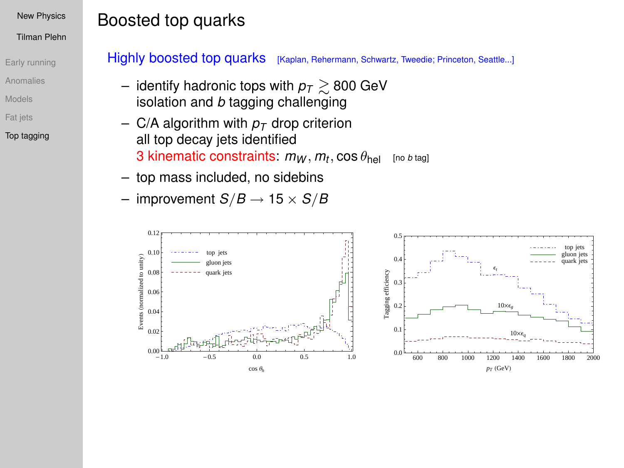#### Tilman Plehn

- [Early running](#page-1-0)
- [Anomalies](#page-5-0)
- [Models](#page-11-0)
- [Fat jets](#page-29-0)
- [Top tagging](#page-36-0)

# Boosted top quarks

Highly boosted top quarks [Kaplan, Rehermann, Schwartz, Tweedie; Princeton, Seattle...]

- identify hadronic tops with  $p<sub>T</sub> \gtrsim 800$  GeV isolation and *b* tagging challenging
- C/A algorithm with  $p<sub>T</sub>$  drop criterion all top decay jets identified  $3$  kinematic constraints:  $m_W, m_t, \cos\theta_{\sf hel}$  [no *b* tag]
- top mass included, no sidebins
- $-$  improvement  $S/B \rightarrow 15 \times S/B$

<span id="page-36-0"></span>

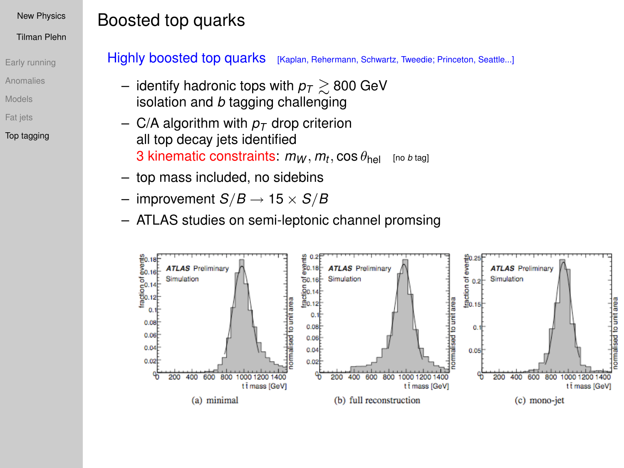#### Tilman Plehn

- [Early running](#page-1-0)
- [Anomalies](#page-5-0)
- [Models](#page-11-0)
- [Fat jets](#page-29-0)
- [Top tagging](#page-36-0)

### Highly boosted top quarks [Kaplan, Rehermann, Schwartz, Tweedie; Princeton, Seattle...]

- identify hadronic tops with  $p<sub>T</sub> \ge 800$  GeV isolation and *b* tagging challenging
- C/A algorithm with  $p_T$  drop criterion all top decay jets identified  $3$  kinematic constraints:  $m_W, m_t, \cos\theta_{\sf hel}$  [no *b* tag]
- top mass included, no sidebins

Boosted top quarks

- $-$  improvement  $S/B \rightarrow 15 \times S/B$
- ATLAS studies on semi-leptonic channel promsing

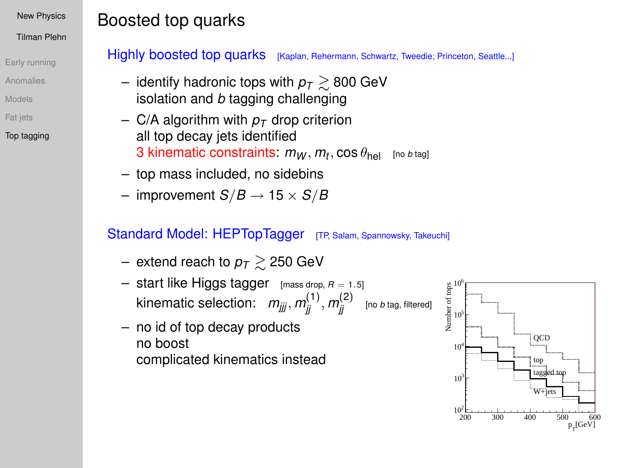#### Tilman Plehn

- [Early running](#page-1-0)
- [Anomalies](#page-5-0)
- [Models](#page-11-0)
- [Fat jets](#page-29-0)

### [Top tagging](#page-36-0)

### Highly boosted top quarks [Kaplan, Rehermann, Schwartz, Tweedie; Princeton, Seattle...]

- identify hadronic tops with  $p_T \geq 800$  GeV isolation and *b* tagging challenging
- C/A algorithm with  $p_T$  drop criterion all top decay jets identified  $3$  kinematic constraints:  $m_W, m_t, \cos\theta_{\sf hel}$  [no *b* tag]
- top mass included, no sidebins

Boosted top quarks

 $-$  improvement  $S/B \rightarrow 15 \times S/B$ 

- extend reach to  $p<sub>T</sub> \ge 250$  GeV
- $-$  start like Higgs tagger [mass drop,  $R = 1.5$ ]  $\kappa$ inematic selection:  $\; m_{j j j}^{} , m_{j j}^{(1)} , m_{j j}^{(2)} \;$  [no *b* tag, filtered]
- no id of top decay products no boost complicated kinematics instead

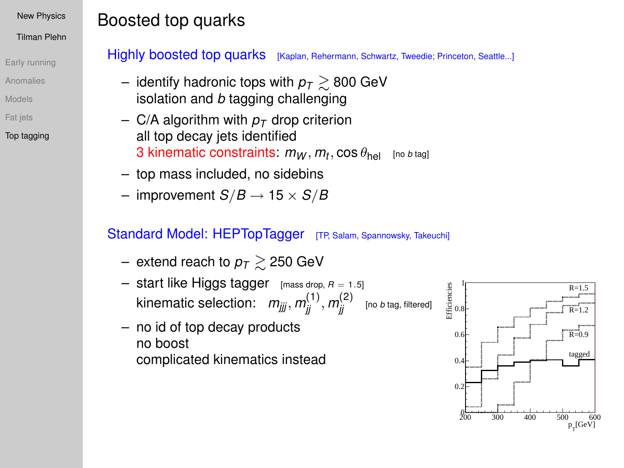#### Tilman Plehn

- [Early running](#page-1-0)
- [Anomalies](#page-5-0)
- [Models](#page-11-0)
- [Fat jets](#page-29-0)

### [Top tagging](#page-36-0)

### Highly boosted top quarks [Kaplan, Rehermann, Schwartz, Tweedie; Princeton, Seattle...]

- identify hadronic tops with  $p_T \geq 800$  GeV isolation and *b* tagging challenging
- C/A algorithm with  $p_T$  drop criterion all top decay jets identified  $3$  kinematic constraints:  $m_W, m_t, \cos\theta_{\sf hel}$  [no *b* tag]
- top mass included, no sidebins

Boosted top quarks

 $-$  improvement  $S/B \rightarrow 15 \times S/B$ 

- extend reach to  $p<sub>T</sub> \ge 250$  GeV
- $-$  start like Higgs tagger [mass drop,  $R = 1.5$ ]  $\kappa$ inematic selection:  $\; m_{j j j}^{} , m_{j j}^{(1)} , m_{j j}^{(2)} \;$  [no *b* tag, filtered]
- no id of top decay products no boost complicated kinematics instead

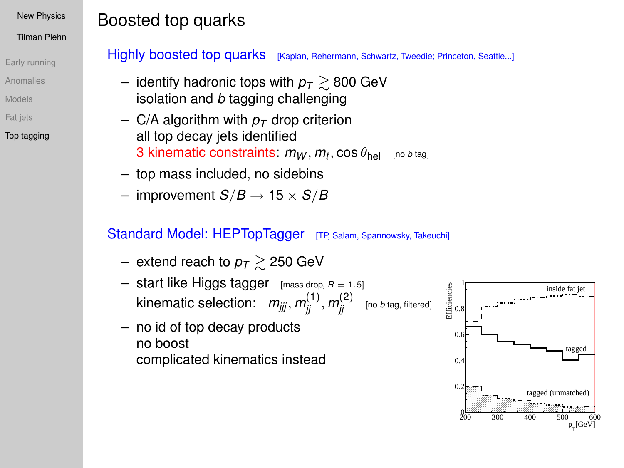#### Tilman Plehn

- [Early running](#page-1-0)
- [Anomalies](#page-5-0)
- [Models](#page-11-0)
- [Fat jets](#page-29-0)

### [Top tagging](#page-36-0)

### Highly boosted top quarks [Kaplan, Rehermann, Schwartz, Tweedie; Princeton, Seattle...]

- identify hadronic tops with  $p_T \geq 800$  GeV isolation and *b* tagging challenging
- C/A algorithm with  $p_T$  drop criterion all top decay jets identified  $3$  kinematic constraints:  $m_W, m_t, \cos\theta_{\sf hel}$  [no *b* tag]
- top mass included, no sidebins

Boosted top quarks

 $-$  improvement  $S/B \rightarrow 15 \times S/B$ 

- extend reach to  $p<sub>T</sub> \ge 250$  GeV
- $-$  start like Higgs tagger [mass drop,  $R = 1.5$ ]  $\kappa$ inematic selection:  $\; m_{j j j}^{} , m_{j j}^{(1)} , m_{j j}^{(2)} \;$  [no *b* tag, filtered]
- no id of top decay products no boost complicated kinematics instead

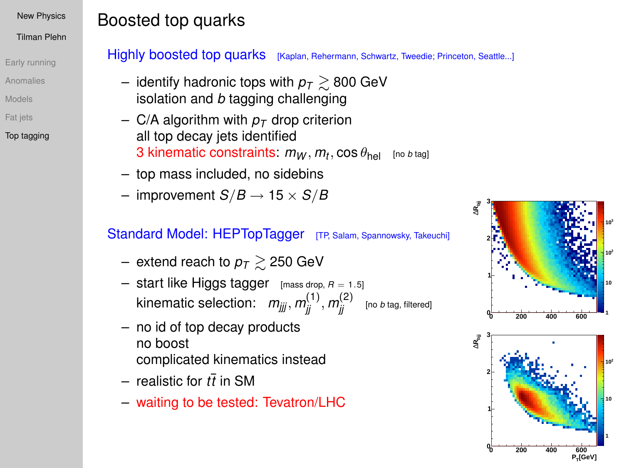#### Tilman Plehn

- [Early running](#page-1-0)
- [Anomalies](#page-5-0)
- [Models](#page-11-0)
- [Fat jets](#page-29-0)
- [Top tagging](#page-36-0)

### Highly boosted top quarks [Kaplan, Rehermann, Schwartz, Tweedie; Princeton, Seattle...]

- identify hadronic tops with  $p_T \geq 800$  GeV isolation and *b* tagging challenging
- C/A algorithm with  $p_T$  drop criterion all top decay jets identified  $3$  kinematic constraints:  $m_W, m_t, \cos\theta_{\sf hel}$  [no *b* tag]
- top mass included, no sidebins

Boosted top quarks

 $-$  improvement  $S/B \rightarrow 15 \times S/B$ 

- extend reach to  $p_T \gtrsim 250$  GeV
- $-$  start like Higgs tagger [mass drop,  $R = 1.5$ ]  $\kappa$ inematic selection:  $\; m_{j j j}^{} , m_{j j}^{(1)} , m_{j j}^{(2)} \;$  [no *b* tag, filtered]
- no id of top decay products no boost complicated kinematics instead
- $-$  realistic for  $t\bar{t}$  in SM
- waiting to be tested: Tevatron/LHC

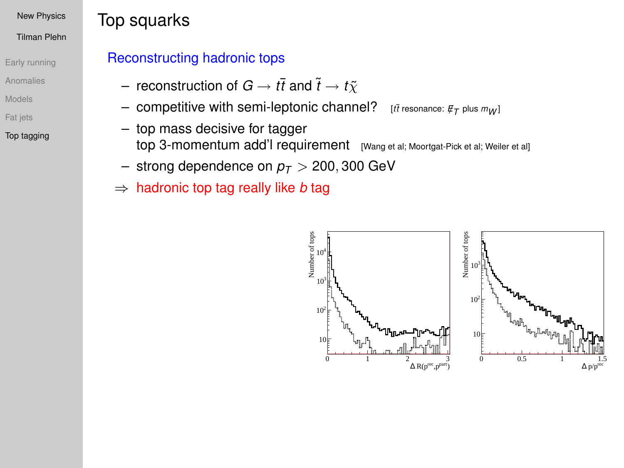#### Tilman Plehn

- [Early running](#page-1-0)
- [Anomalies](#page-5-0)
- [Models](#page-11-0)
- [Fat jets](#page-29-0)
- [Top tagging](#page-36-0)

# Top squarks

## Reconstructing hadronic tops

- $-$  reconstruction of  $G \rightarrow t\bar{t}$  and  $\tilde{t} \rightarrow t\tilde{\chi}$
- competitive with semi-leptonic channel? [*t*¯*<sup>t</sup>* resonance: *<sup>E</sup>*/*<sup>T</sup>* plus *mW* ]
- top mass decisive for tagger top 3-momentum add'l requirement [Wang et al; Moortgat-Pick et al; Weiler et al]
- strong dependence on  $p<sub>T</sub>$  > 200, 300 GeV
- ⇒ hadronic top tag really like *b* tag

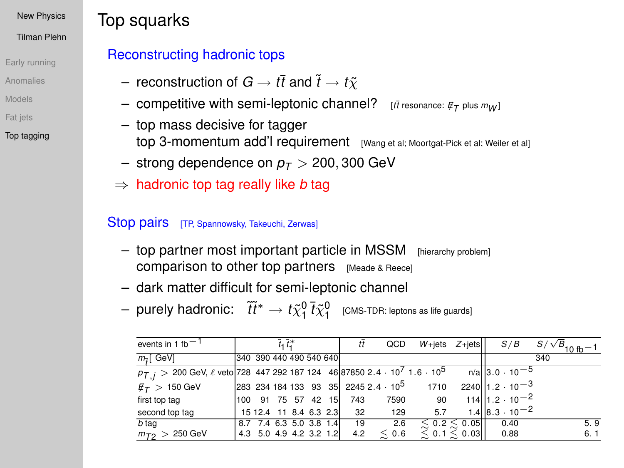#### Tilman Plehn

- [Early running](#page-1-0)
- [Anomalies](#page-5-0)
- [Models](#page-11-0)
- [Fat jets](#page-29-0)
- [Top tagging](#page-36-0)

# Top squarks

## Reconstructing hadronic tops

- $-$  reconstruction of  $G \rightarrow t\bar{t}$  and  $\tilde{t} \rightarrow t\tilde{y}$
- $-$  competitive with semi-leptonic channel?  $\,$   $\,$   $_{[t\bar{t}$  resonance:  $\not\!\!{E}_\mathcal{T}$  plus  $m_{\mathcal{W}}$ ]
- top mass decisive for tagger top 3-momentum add'l requirement [Wang et al; Moortgat-Pick et al; Weiler et al]
- strong dependence on  $p_T > 200,300$  GeV
- ⇒ hadronic top tag really like *b* tag

### Stop pairs [TP, Spannowsky, Takeuchi, Zerwas]

- top partner most important particle in MSSM [hierarchy problem] comparison to other top partners [Meade & Reece]
- dark matter difficult for semi-leptonic channel
- $-$  purely hadronic:  $\;\;\widetilde{t} \widetilde{t}^* \to t \widetilde{\chi}_1^0 \, \bar{t} \widetilde{\chi}_1^0 \;\;$  [CMS-TDR: leptons as life guards]

| events in 1 fb $-1$                                                                                       |                         | $\tilde{t}_1 \tilde{t}_1^*$ |  | tī  | QCD        | $W + jets$ Z+jets                                     |                      | S/B                                  | $S/\sqrt{B}$ <sub>10 fb</sub> -1 |
|-----------------------------------------------------------------------------------------------------------|-------------------------|-----------------------------|--|-----|------------|-------------------------------------------------------|----------------------|--------------------------------------|----------------------------------|
| $m\tilde{t}$ GeV]                                                                                         | 340 390 440 490 540 640 |                             |  |     |            |                                                       |                      |                                      | 340                              |
| $p_{T,i}$ > 200 GeV, $\ell$ veto 728 447 292 187 124 46 87850 2.4 · 10 <sup>7</sup> 1.6 · 10 <sup>5</sup> |                         |                             |  |     |            |                                                       |                      | $n/a$ 3.0 $\cdot$ 10 <sup>-5</sup>   |                                  |
| $\ell_{\mathcal{T}} > 150$ GeV                                                                            |                         |                             |  |     |            | 283 234 184 133 93 35 2245 2.4 · 10 <sup>5</sup> 1710 |                      | $2240$ 1.2 $\cdot$ 10 <sup>-3</sup>  |                                  |
| first top tag                                                                                             | 100 91 75 57 42 15      |                             |  | 743 | 7590       | 90                                                    |                      | $114$   1.2 · 10 <sup>-2</sup>       |                                  |
| second top tag                                                                                            | 15 12.4 11 8.4 6.3 2.3  |                             |  | 32  | 129        | 5.7                                                   |                      | $1.4$   8.3 $\cdot$ 10 <sup>-2</sup> |                                  |
| b tag                                                                                                     | 8.7 7.4 6.3 5.0 3.8 1.4 |                             |  | 19  | 2.6        |                                                       | $\leq 0.2 \leq 0.05$ | 0.40                                 | 5.9                              |
| $m_{T2} > 250 \text{ GeV}$                                                                                | 4.3 5.0 4.9 4.2 3.2 1.2 |                             |  | 4.2 | $\leq 0.6$ |                                                       | $\leq 0.1 \leq 0.03$ | 0.88                                 | 6.1                              |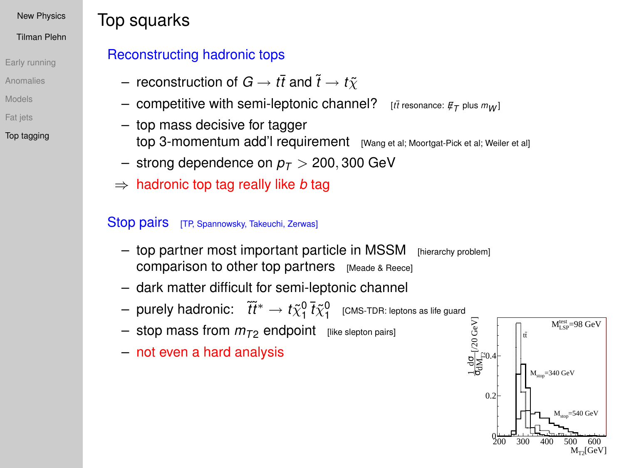#### Tilman Plehn

- [Early running](#page-1-0)
- [Anomalies](#page-5-0)
- [Models](#page-11-0)
- [Fat jets](#page-29-0)
- [Top tagging](#page-36-0)

# Top squarks

## Reconstructing hadronic tops

- $-$  reconstruction of  $G \rightarrow t\bar{t}$  and  $\tilde{t} \rightarrow t\tilde{y}$
- $-$  competitive with semi-leptonic channel?  $\,$   $\,$   $_{[t\bar{t}$  resonance:  $\not\!\!{E}_\mathcal{T}$  plus  $m_{\mathcal{W}}$ ]
- top mass decisive for tagger top 3-momentum add'l requirement [Wang et al; Moortgat-Pick et al; Weiler et al]
- strong dependence on  $p_T > 200,300$  GeV
- ⇒ hadronic top tag really like *b* tag

## Stop pairs [TP, Spannowsky, Takeuchi, Zerwas]

- top partner most important particle in MSSM [hierarchy problem] comparison to other top partners [Meade & Reece]
- dark matter difficult for semi-leptonic channel
- $-$  purely hadronic:  $\;\;\widetilde{t} \widetilde{t}^* \to t \widetilde{\chi}_1^0 \, \bar{t} \widetilde{\chi}_1^0 \;\;$  [CMS-TDR: leptons as life guard  $\;\;$
- $-$  stop mass from  $m_{T2}$  endpoint [like slepton pairs]
- not even a hard analysis

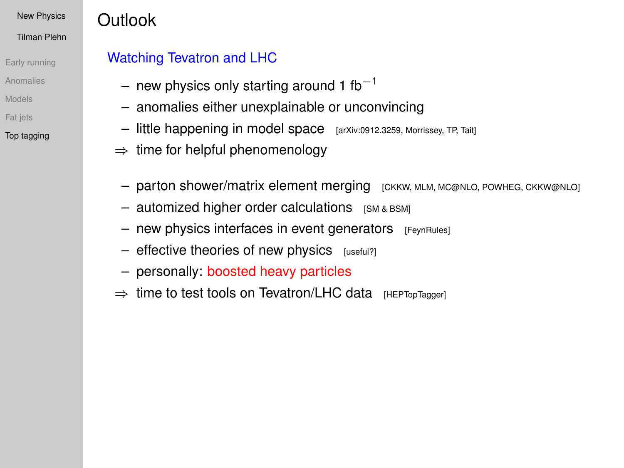#### Tilman Plehn

- [Early running](#page-1-0)
- [Anomalies](#page-5-0)
- [Models](#page-11-0)
- [Fat jets](#page-29-0)

### [Top tagging](#page-36-0)

# **Outlook**

## Watching Tevatron and LHC

- new physics only starting around 1 fb<sup>-1</sup>
- anomalies either unexplainable or unconvincing
- little happening in model space [arXiv:0912.3259, Morrissey, TP, Tait]
- $\Rightarrow$  time for helpful phenomenology
	- parton shower/matrix element merging [CKKW, MLM, MC@NLO, POWHEG, CKKW@NLO]
	- $-$  automized higher order calculations  $[SM 8 BSM]$
	- $-$  new physics interfaces in event generators  $[FeynRules]$
	- $-$  effective theories of new physics  $[useful?]$
	- personally: boosted heavy particles
- ⇒ time to test tools on Tevatron/LHC data [HEPTopTagger]